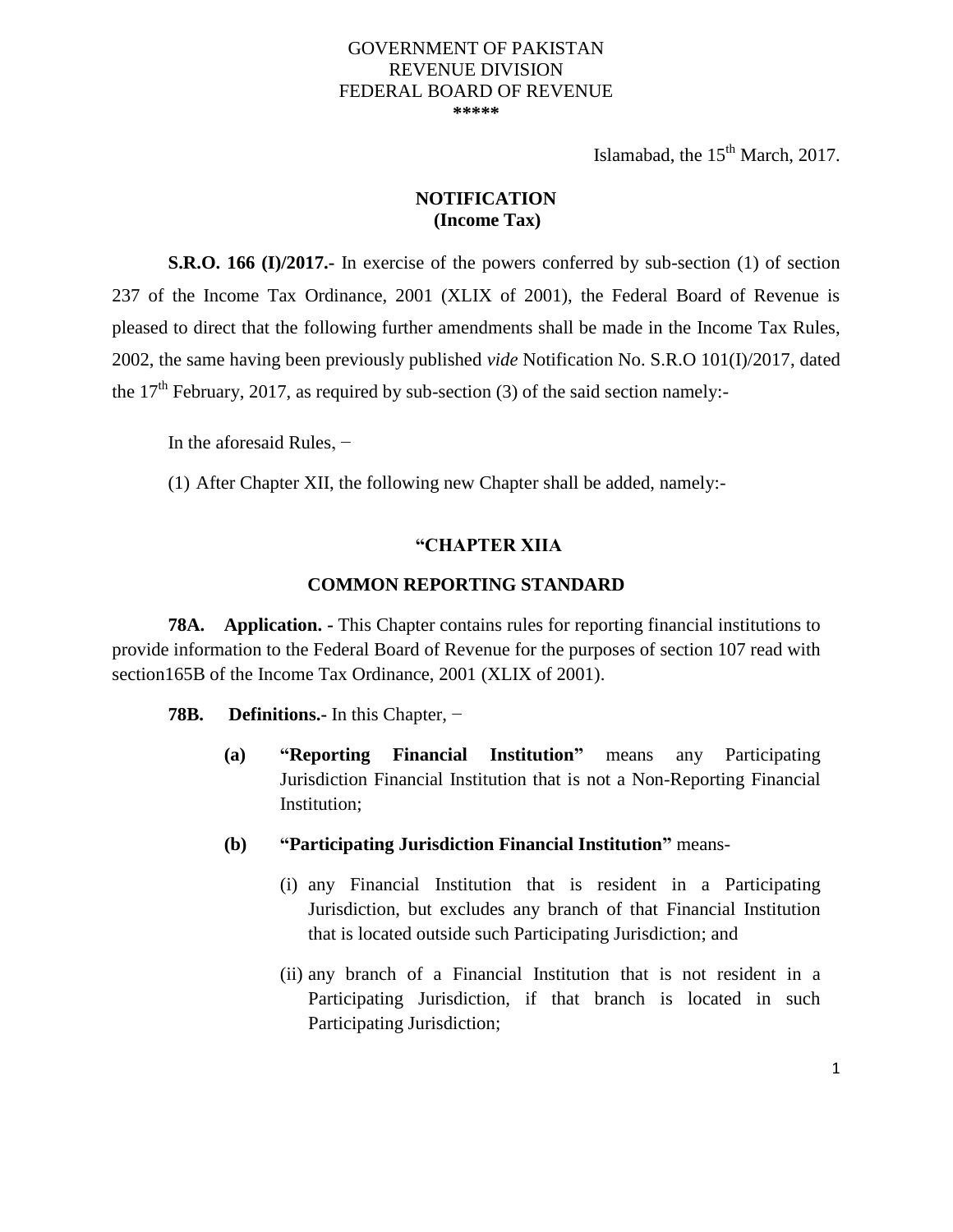#### GOVERNMENT OF PAKISTAN REVENUE DIVISION FEDERAL BOARD OF REVENUE **\*\*\*\*\***

Islamabad, the  $15<sup>th</sup>$  March, 2017.

### **NOTIFICATION (Income Tax)**

**S.R.O. 166 (I)/2017.** In exercise of the powers conferred by sub-section (1) of section 237 of the Income Tax Ordinance, 2001 (XLIX of 2001), the Federal Board of Revenue is pleased to direct that the following further amendments shall be made in the Income Tax Rules, 2002, the same having been previously published *vide* Notification No. S.R.O 101(I)/2017, dated the  $17<sup>th</sup>$  February, 2017, as required by sub-section (3) of the said section namely:-

In the aforesaid Rules, −

(1) After Chapter XII, the following new Chapter shall be added, namely:-

# **"CHAPTER XIIA**

### **COMMON REPORTING STANDARD**

**78A. Application. -** This Chapter contains rules for reporting financial institutions to provide information to the Federal Board of Revenue for the purposes of section 107 read with section165B of the Income Tax Ordinance, 2001 (XLIX of 2001).

- **78B. Definitions.-** In this Chapter, −
	- **(a) "Reporting Financial Institution"** means any Participating Jurisdiction Financial Institution that is not a Non-Reporting Financial Institution;
	- **(b) "Participating Jurisdiction Financial Institution"** means-
		- (i) any Financial Institution that is resident in a Participating Jurisdiction, but excludes any branch of that Financial Institution that is located outside such Participating Jurisdiction; and
		- (ii) any branch of a Financial Institution that is not resident in a Participating Jurisdiction, if that branch is located in such Participating Jurisdiction;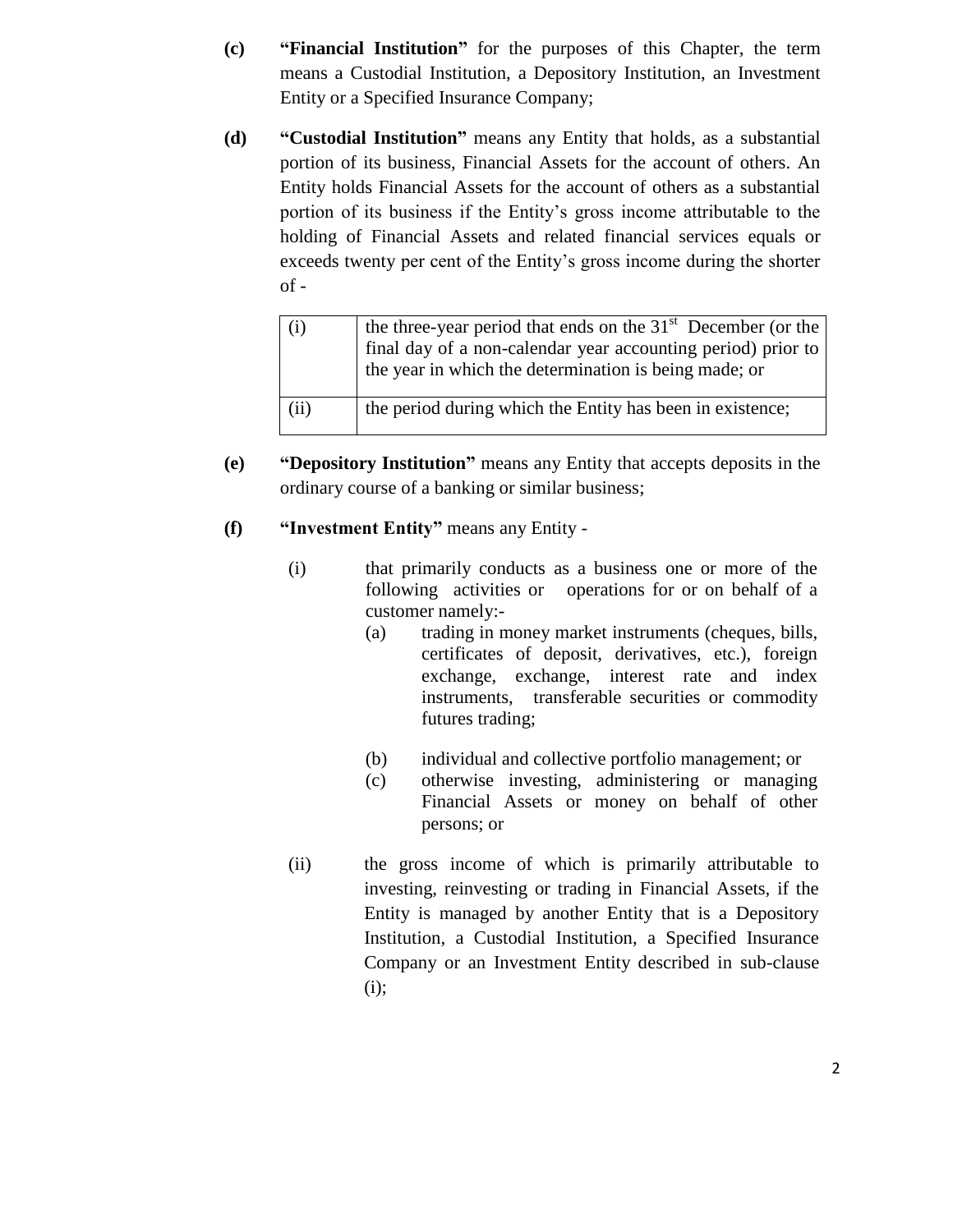- **(c) "Financial Institution"** for the purposes of this Chapter, the term means a Custodial Institution, a Depository Institution, an Investment Entity or a Specified Insurance Company;
- **(d) "Custodial Institution"** means any Entity that holds, as a substantial portion of its business, Financial Assets for the account of others. An Entity holds Financial Assets for the account of others as a substantial portion of its business if the Entity's gross income attributable to the holding of Financial Assets and related financial services equals or exceeds twenty per cent of the Entity's gross income during the shorter of -

| (i)  | the three-year period that ends on the $31st$ December (or the<br>final day of a non-calendar year accounting period) prior to<br>the year in which the determination is being made; or |
|------|-----------------------------------------------------------------------------------------------------------------------------------------------------------------------------------------|
| (ii) | the period during which the Entity has been in existence;                                                                                                                               |

- **(e) "Depository Institution"** means any Entity that accepts deposits in the ordinary course of a banking or similar business;
- **(f) "Investment Entity"** means any Entity
	- (i) that primarily conducts as a business one or more of the following activities or operations for or on behalf of a customer namely:-
		- (a) trading in money market instruments (cheques, bills, certificates of deposit, derivatives, etc.), foreign exchange, exchange, interest rate and index instruments, transferable securities or commodity futures trading;
		- (b) individual and collective portfolio management; or
		- (c) otherwise investing, administering or managing Financial Assets or money on behalf of other persons; or
	- (ii) the gross income of which is primarily attributable to investing, reinvesting or trading in Financial Assets, if the Entity is managed by another Entity that is a Depository Institution, a Custodial Institution, a Specified Insurance Company or an Investment Entity described in sub-clause  $(i)$ ;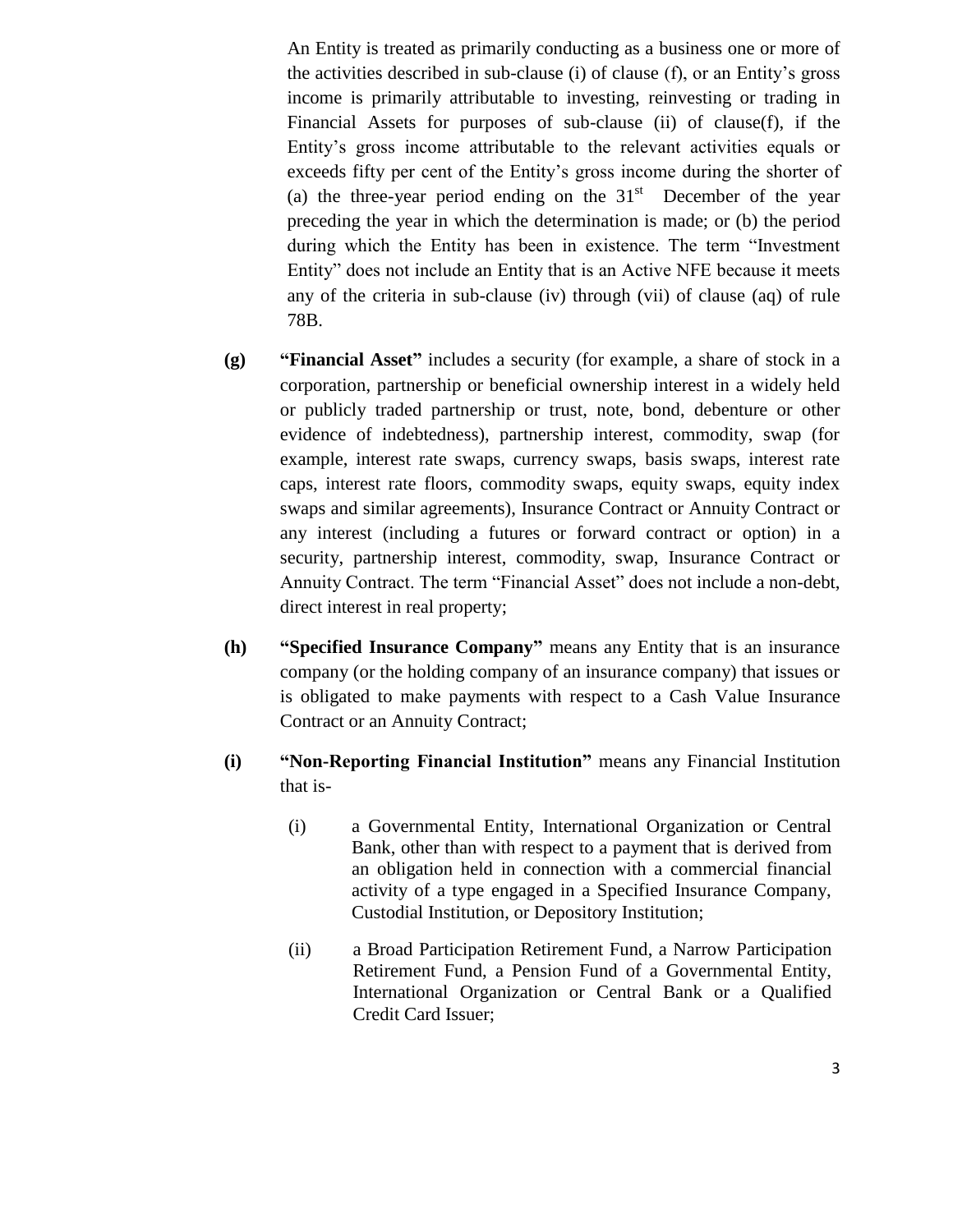An Entity is treated as primarily conducting as a business one or more of the activities described in sub-clause (i) of clause (f), or an Entity's gross income is primarily attributable to investing, reinvesting or trading in Financial Assets for purposes of sub-clause (ii) of clause(f), if the Entity's gross income attributable to the relevant activities equals or exceeds fifty per cent of the Entity's gross income during the shorter of (a) the three-year period ending on the  $31<sup>st</sup>$  December of the year preceding the year in which the determination is made; or (b) the period during which the Entity has been in existence. The term "Investment Entity" does not include an Entity that is an Active NFE because it meets any of the criteria in sub-clause (iv) through (vii) of clause (aq) of rule 78B.

- **(g) "Financial Asset"** includes a security (for example, a share of stock in a corporation, partnership or beneficial ownership interest in a widely held or publicly traded partnership or trust, note, bond, debenture or other evidence of indebtedness), partnership interest, commodity, swap (for example, interest rate swaps, currency swaps, basis swaps, interest rate caps, interest rate floors, commodity swaps, equity swaps, equity index swaps and similar agreements), Insurance Contract or Annuity Contract or any interest (including a futures or forward contract or option) in a security, partnership interest, commodity, swap, Insurance Contract or Annuity Contract. The term "Financial Asset" does not include a non-debt, direct interest in real property;
- **(h) "Specified Insurance Company"** means any Entity that is an insurance company (or the holding company of an insurance company) that issues or is obligated to make payments with respect to a Cash Value Insurance Contract or an Annuity Contract;
- **(i) "Non-Reporting Financial Institution"** means any Financial Institution that is-
	- (i) a Governmental Entity, International Organization or Central Bank, other than with respect to a payment that is derived from an obligation held in connection with a commercial financial activity of a type engaged in a Specified Insurance Company, Custodial Institution, or Depository Institution;
	- (ii) a Broad Participation Retirement Fund, a Narrow Participation Retirement Fund, a Pension Fund of a Governmental Entity, International Organization or Central Bank or a Qualified Credit Card Issuer;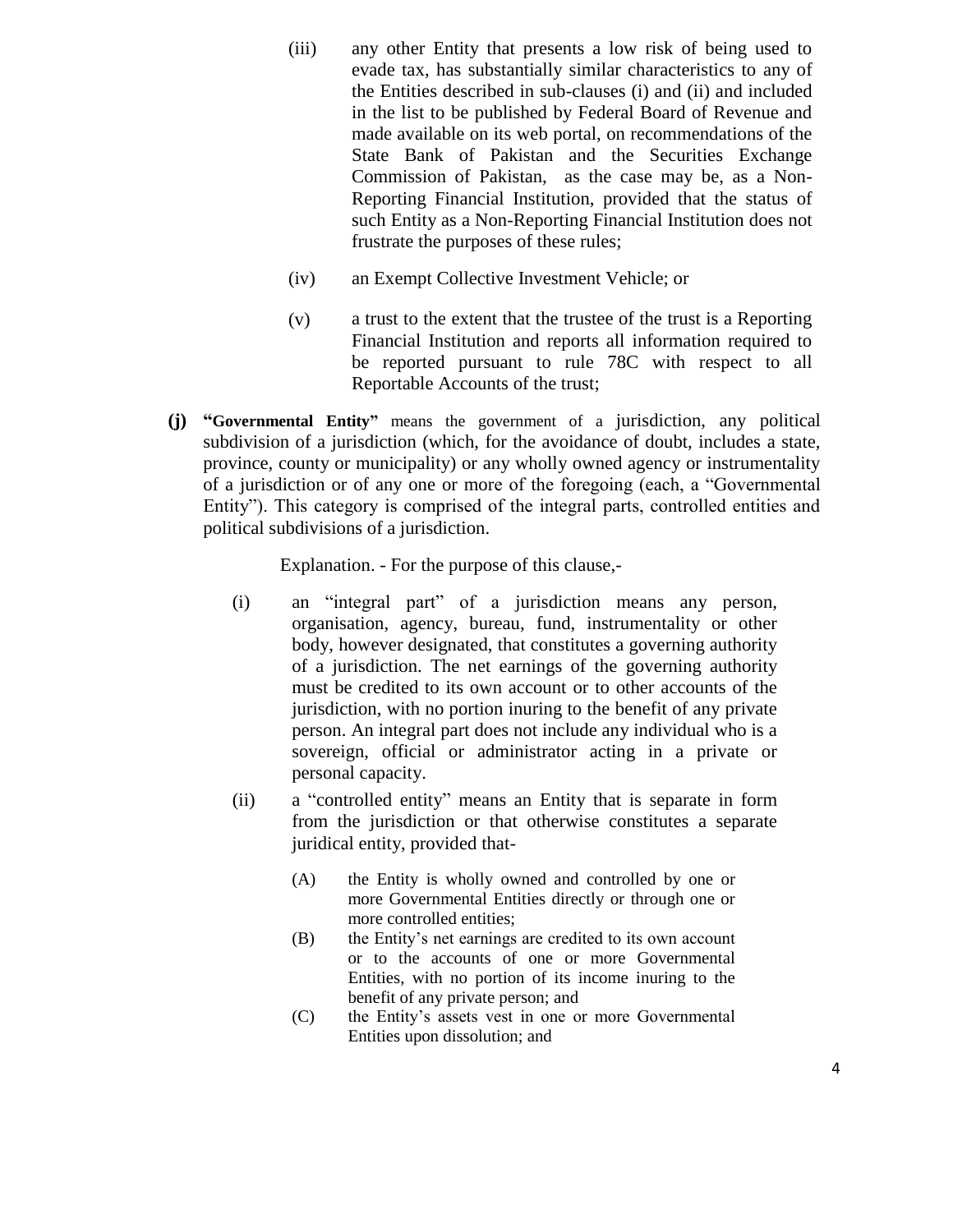- (iii) any other Entity that presents a low risk of being used to evade tax, has substantially similar characteristics to any of the Entities described in sub-clauses (i) and (ii) and included in the list to be published by Federal Board of Revenue and made available on its web portal, on recommendations of the State Bank of Pakistan and the Securities Exchange Commission of Pakistan, as the case may be, as a Non-Reporting Financial Institution, provided that the status of such Entity as a Non-Reporting Financial Institution does not frustrate the purposes of these rules;
- (iv) an Exempt Collective Investment Vehicle; or
- (v) a trust to the extent that the trustee of the trust is a Reporting Financial Institution and reports all information required to be reported pursuant to rule 78C with respect to all Reportable Accounts of the trust;
- **(j) "Governmental Entity"** means the government of a jurisdiction, any political subdivision of a jurisdiction (which, for the avoidance of doubt, includes a state, province, county or municipality) or any wholly owned agency or instrumentality of a jurisdiction or of any one or more of the foregoing (each, a "Governmental Entity"). This category is comprised of the integral parts, controlled entities and political subdivisions of a jurisdiction.

Explanation. - For the purpose of this clause,-

- (i) an "integral part" of a jurisdiction means any person, organisation, agency, bureau, fund, instrumentality or other body, however designated, that constitutes a governing authority of a jurisdiction. The net earnings of the governing authority must be credited to its own account or to other accounts of the jurisdiction, with no portion inuring to the benefit of any private person. An integral part does not include any individual who is a sovereign, official or administrator acting in a private or personal capacity.
- (ii) a "controlled entity" means an Entity that is separate in form from the jurisdiction or that otherwise constitutes a separate juridical entity, provided that-
	- (A) the Entity is wholly owned and controlled by one or more Governmental Entities directly or through one or more controlled entities;
	- (B) the Entity's net earnings are credited to its own account or to the accounts of one or more Governmental Entities, with no portion of its income inuring to the benefit of any private person; and
	- (C) the Entity's assets vest in one or more Governmental Entities upon dissolution; and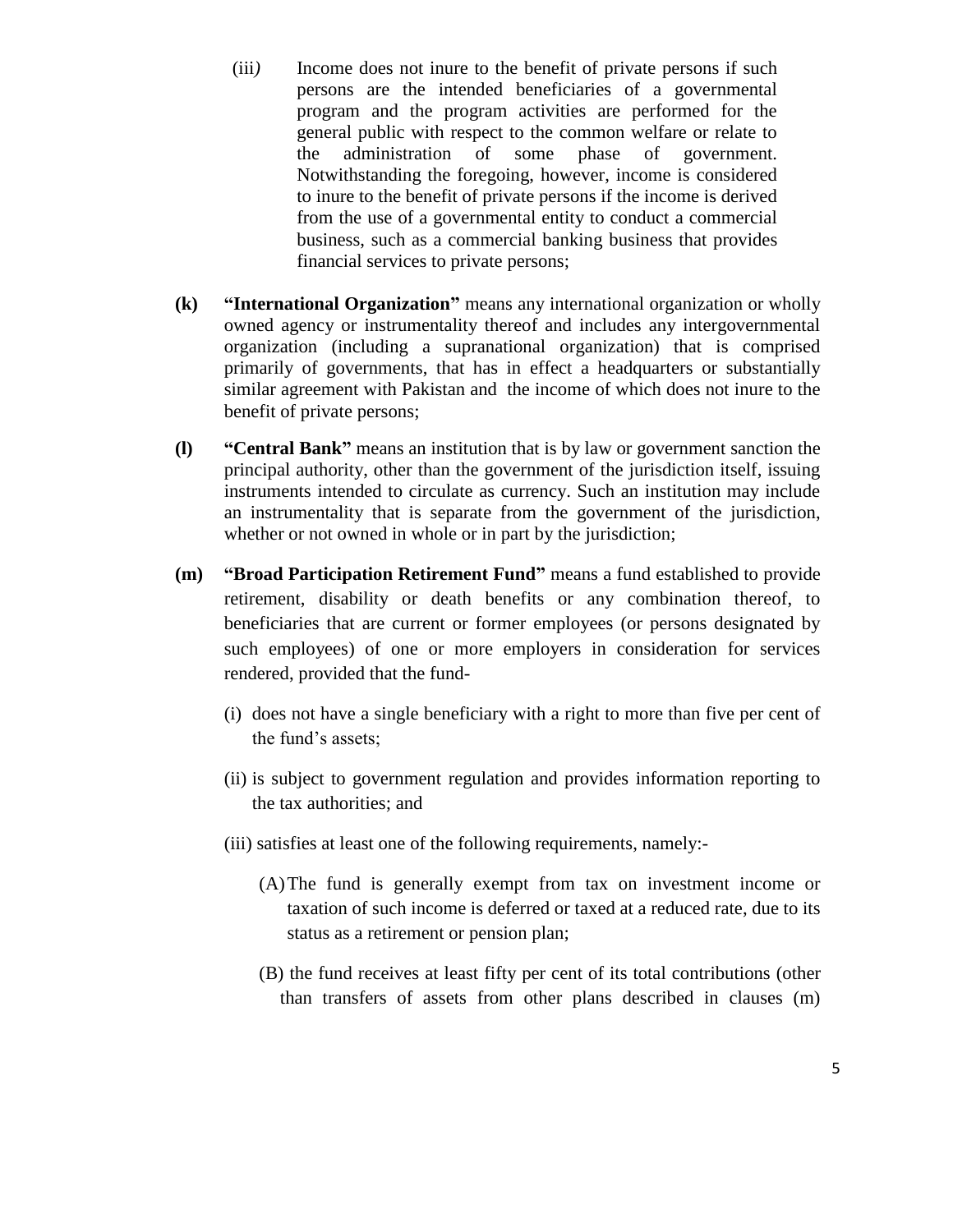- (iii*)* Income does not inure to the benefit of private persons if such persons are the intended beneficiaries of a governmental program and the program activities are performed for the general public with respect to the common welfare or relate to the administration of some phase of government. Notwithstanding the foregoing, however, income is considered to inure to the benefit of private persons if the income is derived from the use of a governmental entity to conduct a commercial business, such as a commercial banking business that provides financial services to private persons;
- **(k) "International Organization"** means any international organization or wholly owned agency or instrumentality thereof and includes any intergovernmental organization (including a supranational organization) that is comprised primarily of governments, that has in effect a headquarters or substantially similar agreement with Pakistan and the income of which does not inure to the benefit of private persons;
- **(l) "Central Bank"** means an institution that is by law or government sanction the principal authority, other than the government of the jurisdiction itself, issuing instruments intended to circulate as currency. Such an institution may include an instrumentality that is separate from the government of the jurisdiction, whether or not owned in whole or in part by the jurisdiction;
- **(m) "Broad Participation Retirement Fund"** means a fund established to provide retirement, disability or death benefits or any combination thereof, to beneficiaries that are current or former employees (or persons designated by such employees) of one or more employers in consideration for services rendered, provided that the fund-
	- (i) does not have a single beneficiary with a right to more than five per cent of the fund's assets;
	- (ii) is subject to government regulation and provides information reporting to the tax authorities; and
	- (iii) satisfies at least one of the following requirements, namely:-
		- (A)The fund is generally exempt from tax on investment income or taxation of such income is deferred or taxed at a reduced rate, due to its status as a retirement or pension plan;
		- (B) the fund receives at least fifty per cent of its total contributions (other than transfers of assets from other plans described in clauses (m)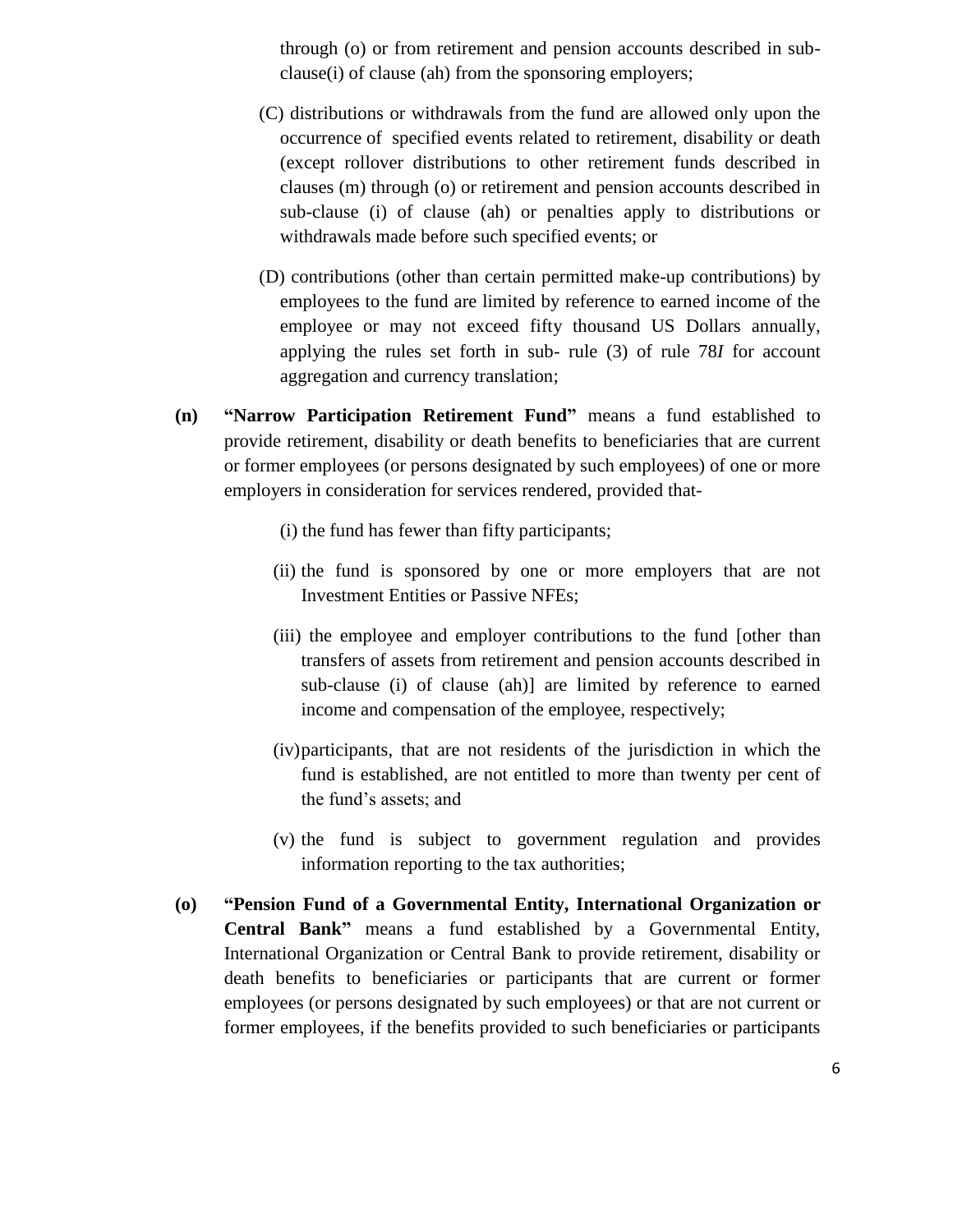through (o) or from retirement and pension accounts described in subclause(i) of clause (ah) from the sponsoring employers;

- (C) distributions or withdrawals from the fund are allowed only upon the occurrence of specified events related to retirement, disability or death (except rollover distributions to other retirement funds described in clauses (m) through (o) or retirement and pension accounts described in sub-clause (i) of clause (ah) or penalties apply to distributions or withdrawals made before such specified events; or
- (D) contributions (other than certain permitted make-up contributions) by employees to the fund are limited by reference to earned income of the employee or may not exceed fifty thousand US Dollars annually, applying the rules set forth in sub- rule (3) of rule 78*I* for account aggregation and currency translation;
- **(n) "Narrow Participation Retirement Fund"** means a fund established to provide retirement, disability or death benefits to beneficiaries that are current or former employees (or persons designated by such employees) of one or more employers in consideration for services rendered, provided that-
	- (i) the fund has fewer than fifty participants;
	- (ii) the fund is sponsored by one or more employers that are not Investment Entities or Passive NFEs;
	- (iii) the employee and employer contributions to the fund [other than transfers of assets from retirement and pension accounts described in sub-clause (i) of clause (ah)] are limited by reference to earned income and compensation of the employee, respectively;
	- (iv)participants, that are not residents of the jurisdiction in which the fund is established, are not entitled to more than twenty per cent of the fund's assets; and
	- (v) the fund is subject to government regulation and provides information reporting to the tax authorities;
- **(o) "Pension Fund of a Governmental Entity, International Organization or Central Bank"** means a fund established by a Governmental Entity, International Organization or Central Bank to provide retirement, disability or death benefits to beneficiaries or participants that are current or former employees (or persons designated by such employees) or that are not current or former employees, if the benefits provided to such beneficiaries or participants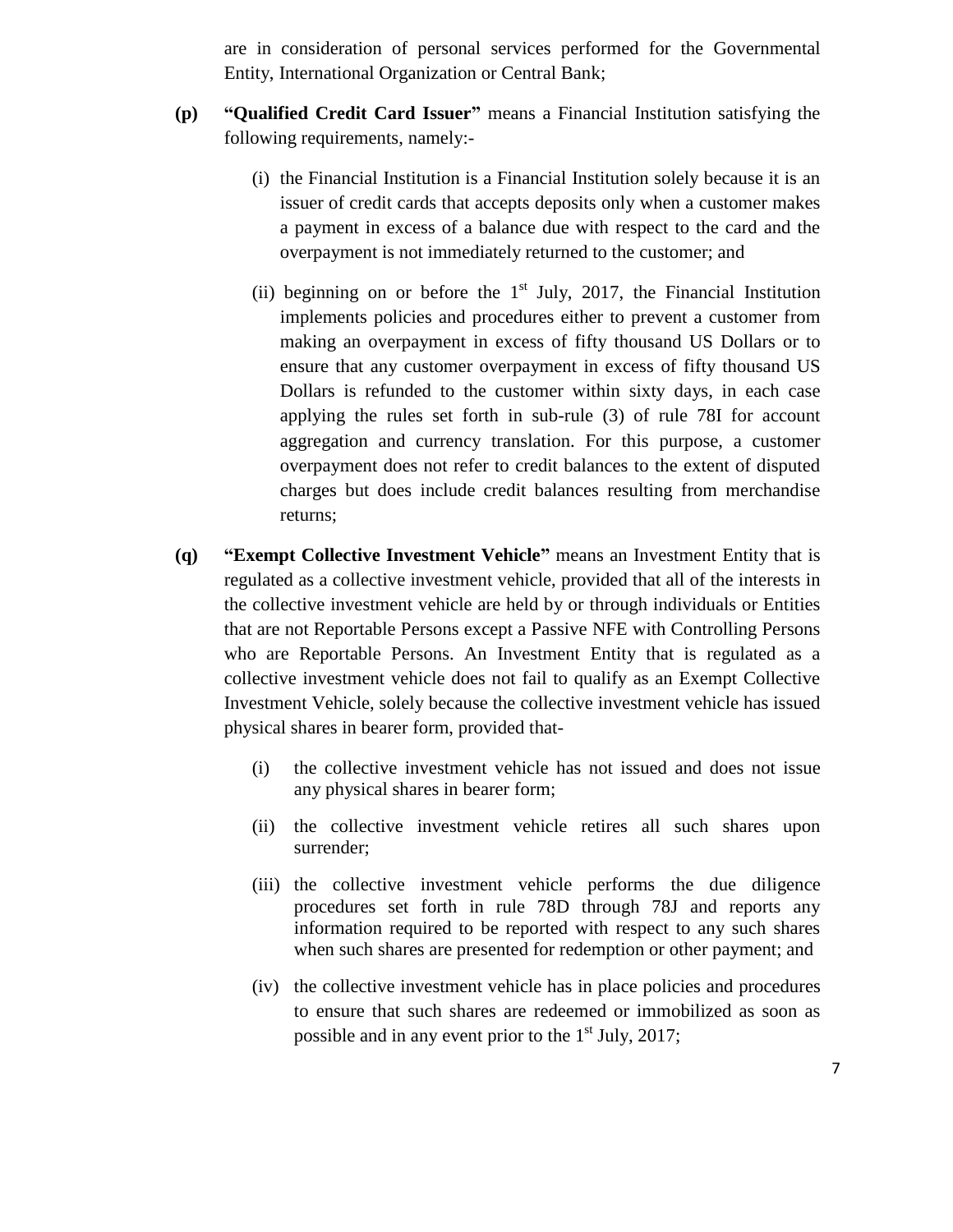are in consideration of personal services performed for the Governmental Entity, International Organization or Central Bank;

- **(p) "Qualified Credit Card Issuer"** means a Financial Institution satisfying the following requirements, namely:-
	- (i) the Financial Institution is a Financial Institution solely because it is an issuer of credit cards that accepts deposits only when a customer makes a payment in excess of a balance due with respect to the card and the overpayment is not immediately returned to the customer; and
	- (ii) beginning on or before the  $1<sup>st</sup>$  July, 2017, the Financial Institution implements policies and procedures either to prevent a customer from making an overpayment in excess of fifty thousand US Dollars or to ensure that any customer overpayment in excess of fifty thousand US Dollars is refunded to the customer within sixty days, in each case applying the rules set forth in sub-rule (3) of rule 78I for account aggregation and currency translation. For this purpose, a customer overpayment does not refer to credit balances to the extent of disputed charges but does include credit balances resulting from merchandise returns;
- **(q) "Exempt Collective Investment Vehicle"** means an Investment Entity that is regulated as a collective investment vehicle, provided that all of the interests in the collective investment vehicle are held by or through individuals or Entities that are not Reportable Persons except a Passive NFE with Controlling Persons who are Reportable Persons. An Investment Entity that is regulated as a collective investment vehicle does not fail to qualify as an Exempt Collective Investment Vehicle, solely because the collective investment vehicle has issued physical shares in bearer form, provided that-
	- (i) the collective investment vehicle has not issued and does not issue any physical shares in bearer form;
	- (ii) the collective investment vehicle retires all such shares upon surrender;
	- (iii) the collective investment vehicle performs the due diligence procedures set forth in rule 78D through 78J and reports any information required to be reported with respect to any such shares when such shares are presented for redemption or other payment; and
	- (iv) the collective investment vehicle has in place policies and procedures to ensure that such shares are redeemed or immobilized as soon as possible and in any event prior to the  $1<sup>st</sup>$  July, 2017;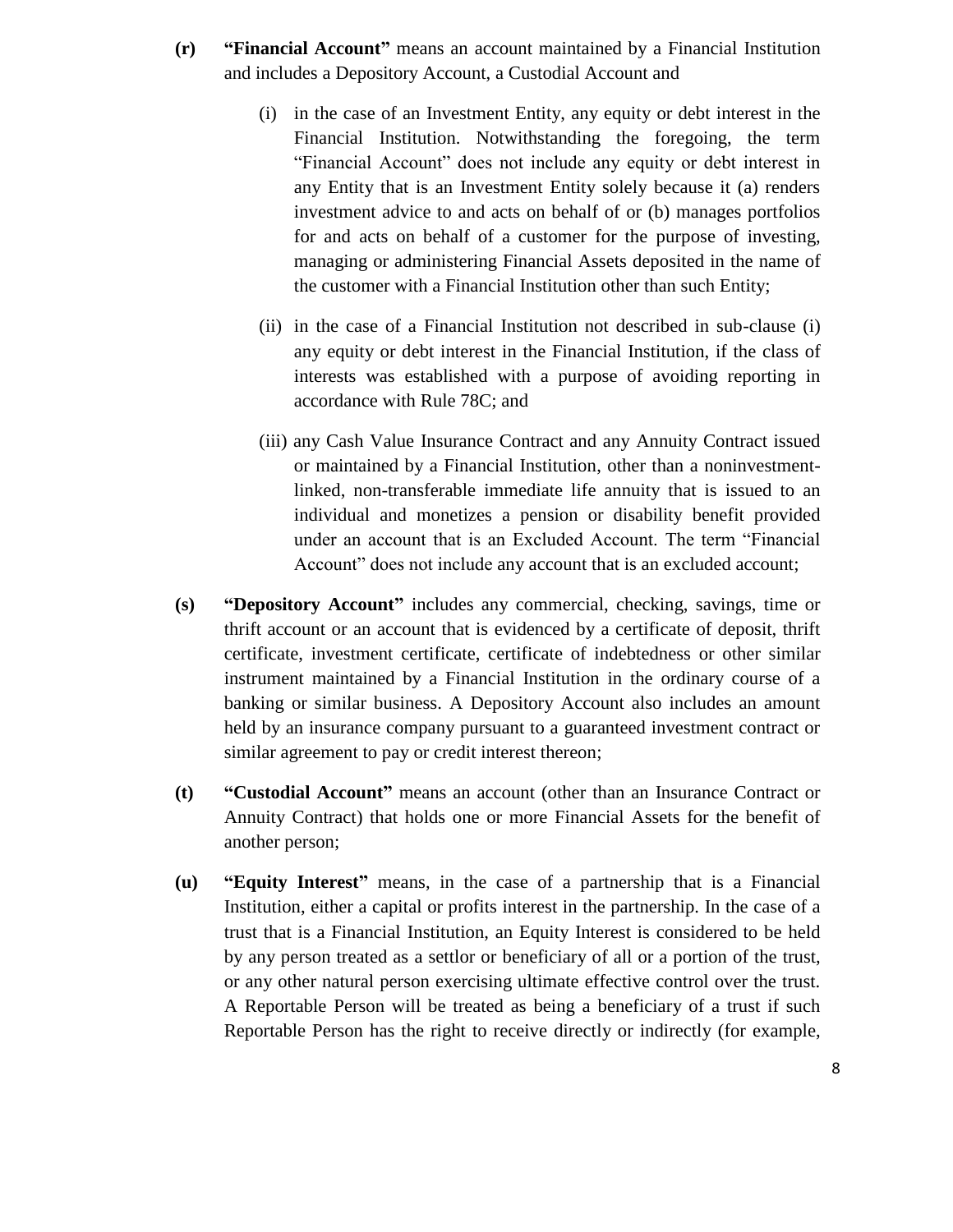- **(r) "Financial Account"** means an account maintained by a Financial Institution and includes a Depository Account, a Custodial Account and
	- (i) in the case of an Investment Entity, any equity or debt interest in the Financial Institution. Notwithstanding the foregoing, the term "Financial Account" does not include any equity or debt interest in any Entity that is an Investment Entity solely because it (a) renders investment advice to and acts on behalf of or (b) manages portfolios for and acts on behalf of a customer for the purpose of investing, managing or administering Financial Assets deposited in the name of the customer with a Financial Institution other than such Entity;
	- (ii) in the case of a Financial Institution not described in sub-clause (i) any equity or debt interest in the Financial Institution, if the class of interests was established with a purpose of avoiding reporting in accordance with Rule 78C; and
	- (iii) any Cash Value Insurance Contract and any Annuity Contract issued or maintained by a Financial Institution, other than a noninvestmentlinked, non-transferable immediate life annuity that is issued to an individual and monetizes a pension or disability benefit provided under an account that is an Excluded Account. The term "Financial Account" does not include any account that is an excluded account;
- **(s) "Depository Account"** includes any commercial, checking, savings, time or thrift account or an account that is evidenced by a certificate of deposit, thrift certificate, investment certificate, certificate of indebtedness or other similar instrument maintained by a Financial Institution in the ordinary course of a banking or similar business. A Depository Account also includes an amount held by an insurance company pursuant to a guaranteed investment contract or similar agreement to pay or credit interest thereon;
- **(t) "Custodial Account"** means an account (other than an Insurance Contract or Annuity Contract) that holds one or more Financial Assets for the benefit of another person;
- **(u) "Equity Interest"** means, in the case of a partnership that is a Financial Institution, either a capital or profits interest in the partnership. In the case of a trust that is a Financial Institution, an Equity Interest is considered to be held by any person treated as a settlor or beneficiary of all or a portion of the trust, or any other natural person exercising ultimate effective control over the trust. A Reportable Person will be treated as being a beneficiary of a trust if such Reportable Person has the right to receive directly or indirectly (for example,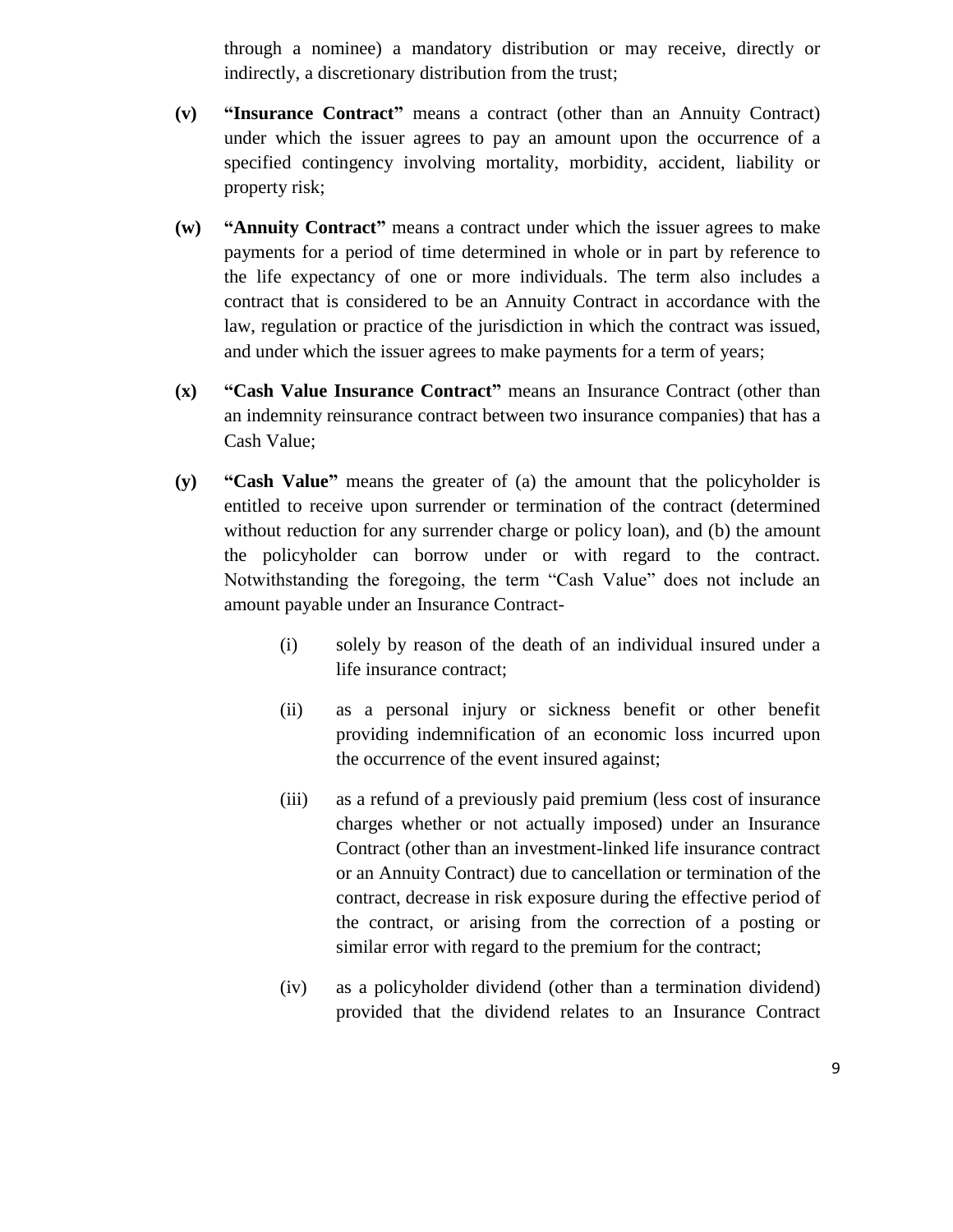through a nominee) a mandatory distribution or may receive, directly or indirectly, a discretionary distribution from the trust;

- **(v) "Insurance Contract"** means a contract (other than an Annuity Contract) under which the issuer agrees to pay an amount upon the occurrence of a specified contingency involving mortality, morbidity, accident, liability or property risk;
- **(w) "Annuity Contract"** means a contract under which the issuer agrees to make payments for a period of time determined in whole or in part by reference to the life expectancy of one or more individuals. The term also includes a contract that is considered to be an Annuity Contract in accordance with the law, regulation or practice of the jurisdiction in which the contract was issued, and under which the issuer agrees to make payments for a term of years;
- **(x) "Cash Value Insurance Contract"** means an Insurance Contract (other than an indemnity reinsurance contract between two insurance companies) that has a Cash Value;
- **(y) "Cash Value"** means the greater of (a) the amount that the policyholder is entitled to receive upon surrender or termination of the contract (determined without reduction for any surrender charge or policy loan), and (b) the amount the policyholder can borrow under or with regard to the contract. Notwithstanding the foregoing, the term "Cash Value" does not include an amount payable under an Insurance Contract-
	- (i) solely by reason of the death of an individual insured under a life insurance contract;
	- (ii) as a personal injury or sickness benefit or other benefit providing indemnification of an economic loss incurred upon the occurrence of the event insured against;
	- (iii) as a refund of a previously paid premium (less cost of insurance charges whether or not actually imposed) under an Insurance Contract (other than an investment-linked life insurance contract or an Annuity Contract) due to cancellation or termination of the contract, decrease in risk exposure during the effective period of the contract, or arising from the correction of a posting or similar error with regard to the premium for the contract;
	- (iv) as a policyholder dividend (other than a termination dividend) provided that the dividend relates to an Insurance Contract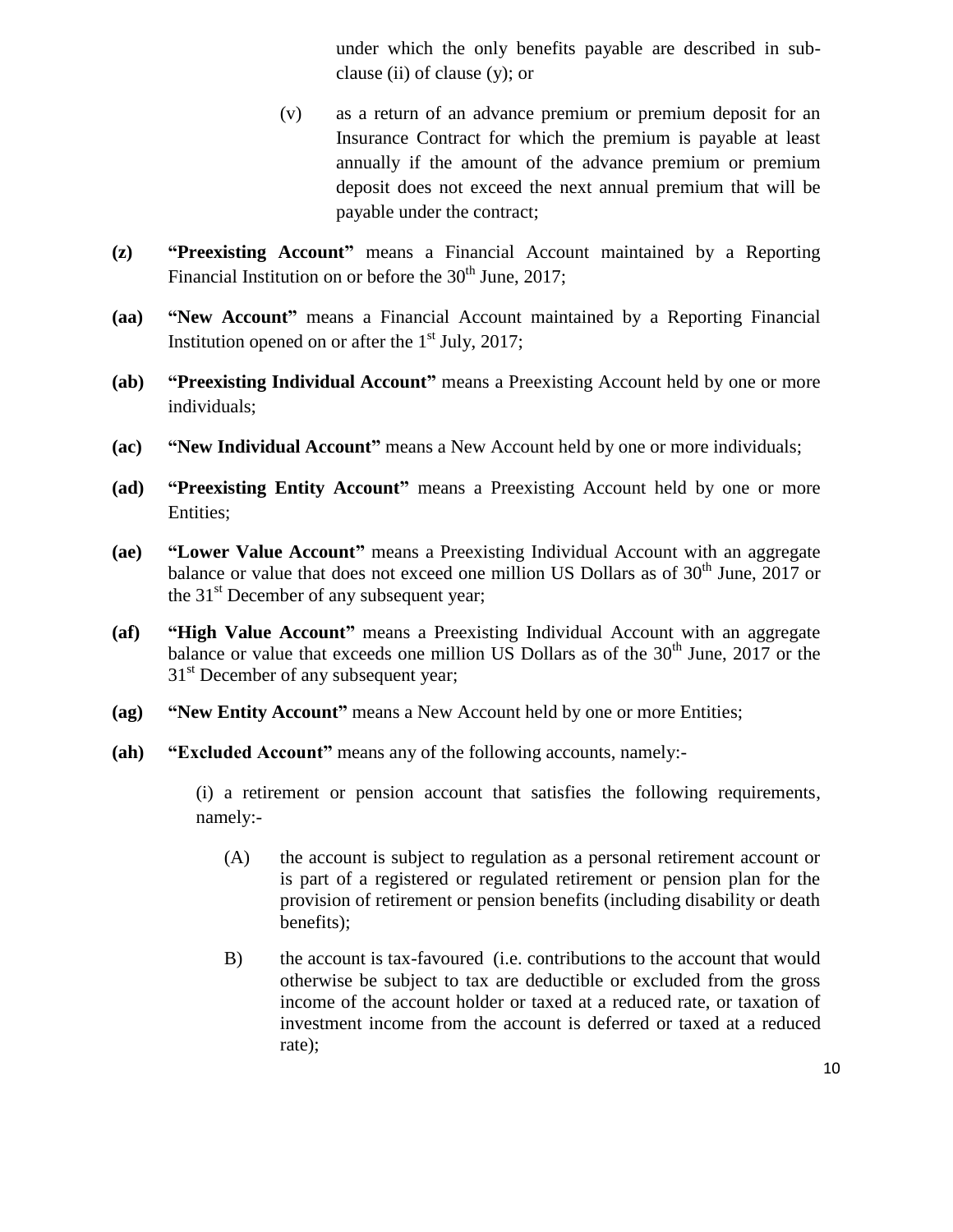under which the only benefits payable are described in subclause (ii) of clause (y); or

- (v) as a return of an advance premium or premium deposit for an Insurance Contract for which the premium is payable at least annually if the amount of the advance premium or premium deposit does not exceed the next annual premium that will be payable under the contract;
- **(z) "Preexisting Account"** means a Financial Account maintained by a Reporting Financial Institution on or before the  $30<sup>th</sup>$  June, 2017;
- **(aa) "New Account"** means a Financial Account maintained by a Reporting Financial Institution opened on or after the  $1<sup>st</sup>$  July, 2017;
- **(ab) "Preexisting Individual Account"** means a Preexisting Account held by one or more individuals;
- **(ac) "New Individual Account"** means a New Account held by one or more individuals;
- **(ad) "Preexisting Entity Account"** means a Preexisting Account held by one or more Entities;
- **(ae) "Lower Value Account"** means a Preexisting Individual Account with an aggregate balance or value that does not exceed one million US Dollars as of  $30<sup>th</sup>$  June, 2017 or the  $31<sup>st</sup>$  December of any subsequent year;
- **(af) "High Value Account"** means a Preexisting Individual Account with an aggregate balance or value that exceeds one million US Dollars as of the  $30<sup>th</sup>$  June, 2017 or the 31<sup>st</sup> December of any subsequent year;
- **(ag) "New Entity Account"** means a New Account held by one or more Entities;
- **(ah) "Excluded Account"** means any of the following accounts, namely:-

(i) a retirement or pension account that satisfies the following requirements, namely:-

- (A) the account is subject to regulation as a personal retirement account or is part of a registered or regulated retirement or pension plan for the provision of retirement or pension benefits (including disability or death benefits);
- B) the account is tax-favoured (i.e. contributions to the account that would otherwise be subject to tax are deductible or excluded from the gross income of the account holder or taxed at a reduced rate, or taxation of investment income from the account is deferred or taxed at a reduced rate);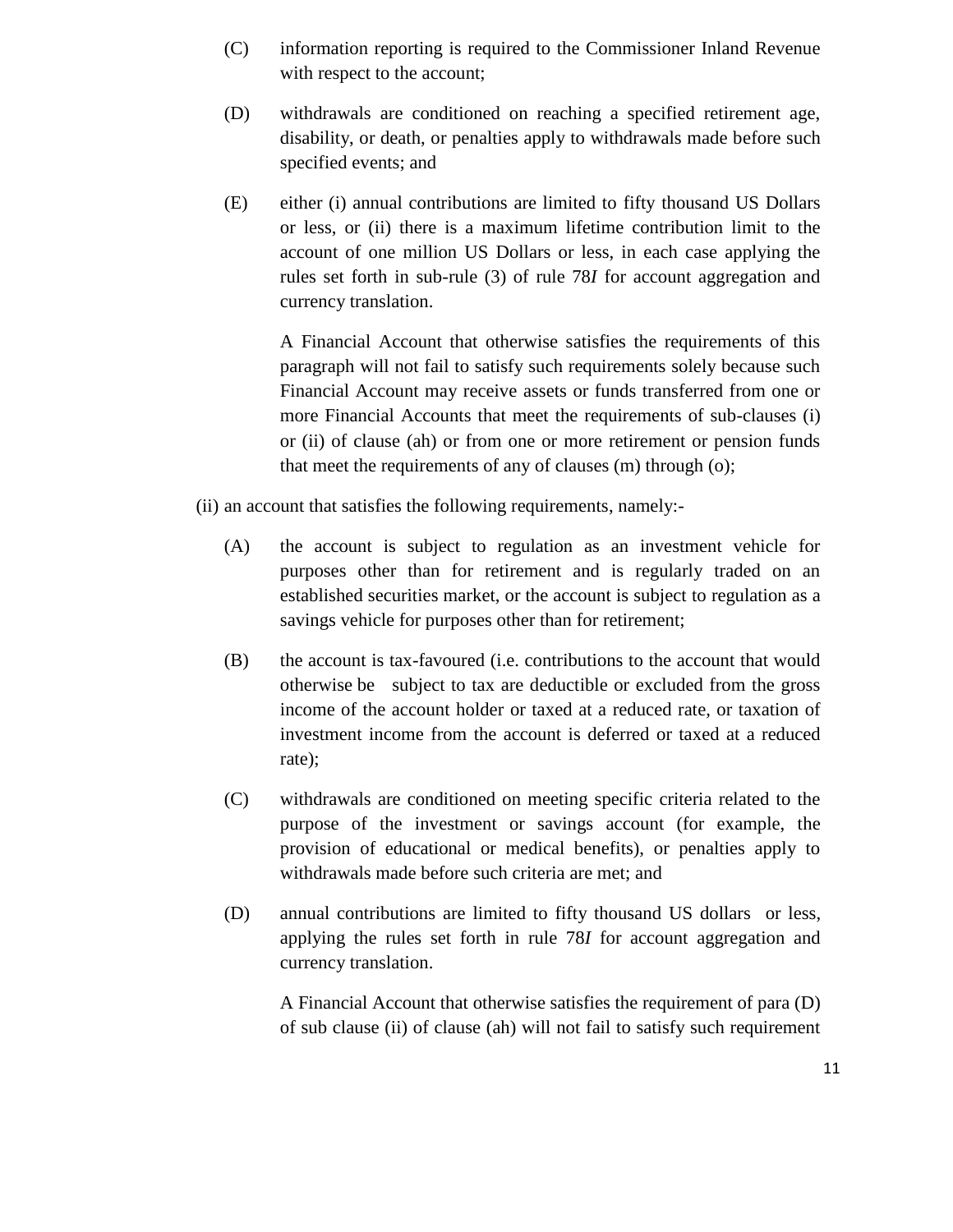- (C) information reporting is required to the Commissioner Inland Revenue with respect to the account;
- (D) withdrawals are conditioned on reaching a specified retirement age, disability, or death, or penalties apply to withdrawals made before such specified events; and
- (E) either (i) annual contributions are limited to fifty thousand US Dollars or less, or (ii) there is a maximum lifetime contribution limit to the account of one million US Dollars or less, in each case applying the rules set forth in sub-rule (3) of rule 78*I* for account aggregation and currency translation.

A Financial Account that otherwise satisfies the requirements of this paragraph will not fail to satisfy such requirements solely because such Financial Account may receive assets or funds transferred from one or more Financial Accounts that meet the requirements of sub-clauses (i) or (ii) of clause (ah) or from one or more retirement or pension funds that meet the requirements of any of clauses (m) through (o);

- (ii) an account that satisfies the following requirements, namely:-
	- (A) the account is subject to regulation as an investment vehicle for purposes other than for retirement and is regularly traded on an established securities market, or the account is subject to regulation as a savings vehicle for purposes other than for retirement;
	- (B) the account is tax-favoured (i.e. contributions to the account that would otherwise be subject to tax are deductible or excluded from the gross income of the account holder or taxed at a reduced rate, or taxation of investment income from the account is deferred or taxed at a reduced rate);
	- (C) withdrawals are conditioned on meeting specific criteria related to the purpose of the investment or savings account (for example, the provision of educational or medical benefits), or penalties apply to withdrawals made before such criteria are met; and
	- (D) annual contributions are limited to fifty thousand US dollars or less, applying the rules set forth in rule 78*I* for account aggregation and currency translation.

A Financial Account that otherwise satisfies the requirement of para (D) of sub clause (ii) of clause (ah) will not fail to satisfy such requirement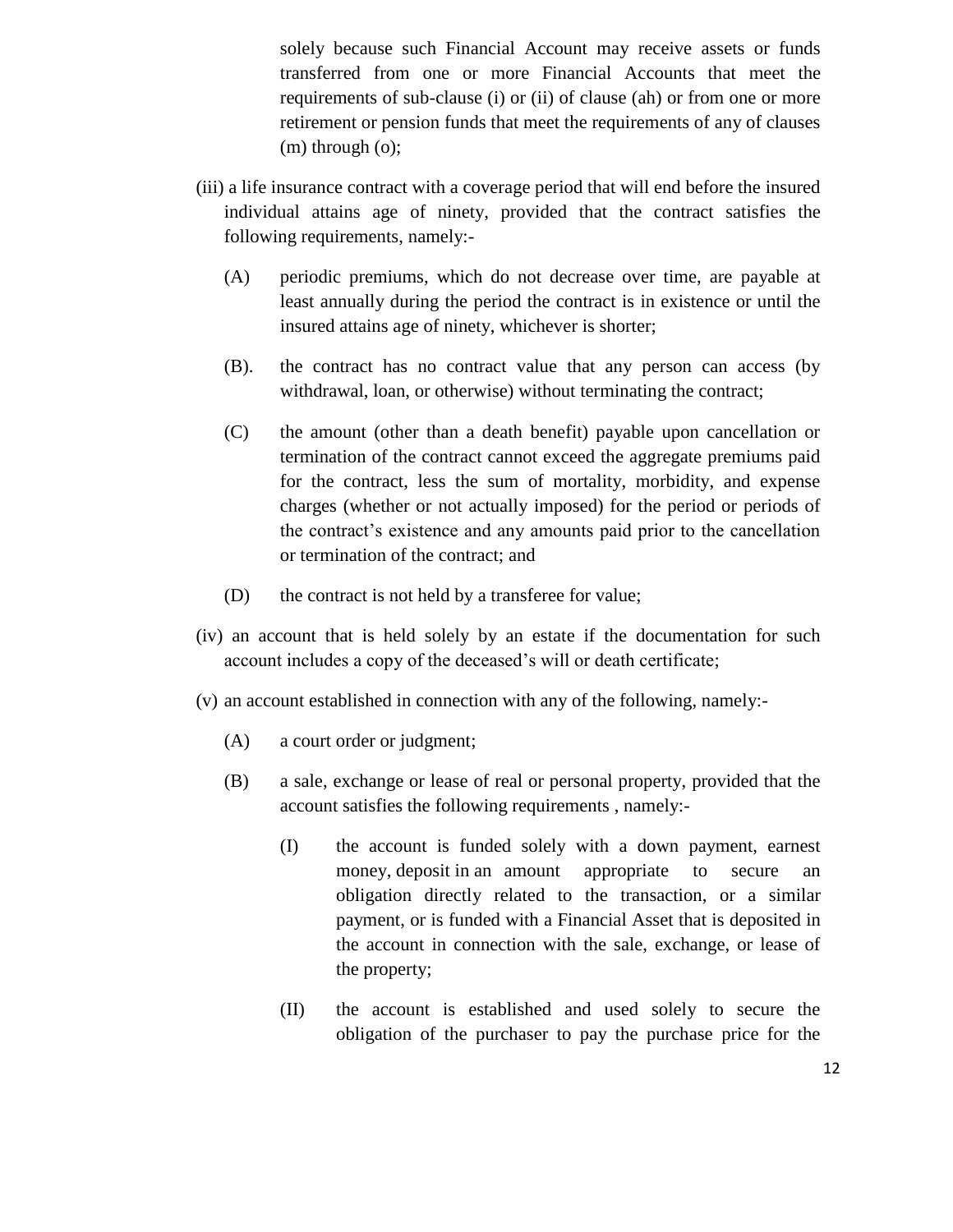solely because such Financial Account may receive assets or funds transferred from one or more Financial Accounts that meet the requirements of sub-clause (i) or (ii) of clause (ah) or from one or more retirement or pension funds that meet the requirements of any of clauses (m) through (o);

- (iii) a life insurance contract with a coverage period that will end before the insured individual attains age of ninety, provided that the contract satisfies the following requirements, namely:-
	- (A) periodic premiums, which do not decrease over time, are payable at least annually during the period the contract is in existence or until the insured attains age of ninety, whichever is shorter;
	- (B). the contract has no contract value that any person can access (by withdrawal, loan, or otherwise) without terminating the contract;
	- (C) the amount (other than a death benefit) payable upon cancellation or termination of the contract cannot exceed the aggregate premiums paid for the contract, less the sum of mortality, morbidity, and expense charges (whether or not actually imposed) for the period or periods of the contract's existence and any amounts paid prior to the cancellation or termination of the contract; and
	- (D) the contract is not held by a transferee for value;
- (iv) an account that is held solely by an estate if the documentation for such account includes a copy of the deceased's will or death certificate;
- (v) an account established in connection with any of the following, namely:-
	- (A) a court order or judgment;
	- (B) a sale, exchange or lease of real or personal property, provided that the account satisfies the following requirements , namely:-
		- (I) the account is funded solely with a down payment, earnest money, deposit in an amount appropriate to secure an obligation directly related to the transaction, or a similar payment, or is funded with a Financial Asset that is deposited in the account in connection with the sale, exchange, or lease of the property;
		- (II) the account is established and used solely to secure the obligation of the purchaser to pay the purchase price for the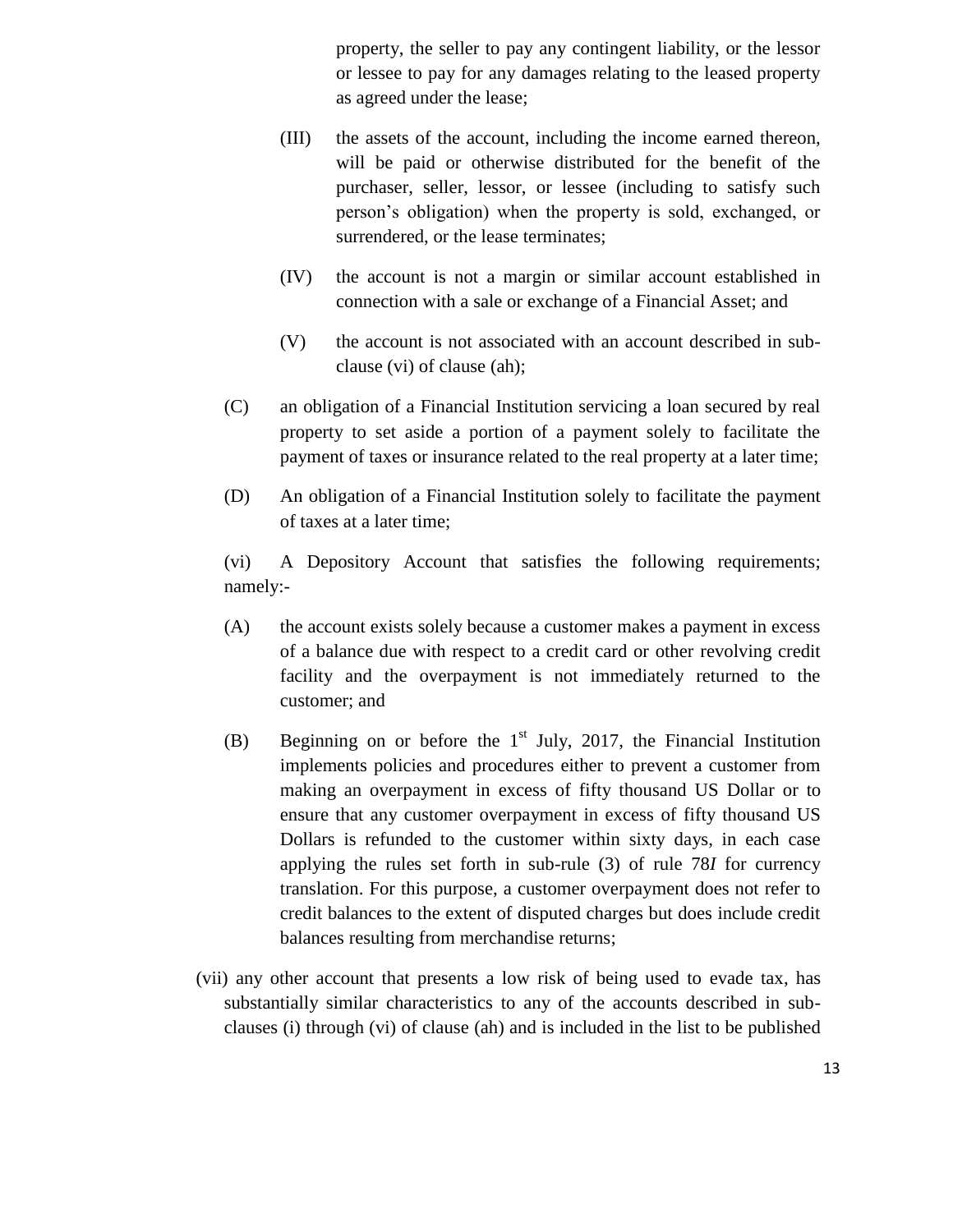property, the seller to pay any contingent liability, or the lessor or lessee to pay for any damages relating to the leased property as agreed under the lease;

- (III) the assets of the account, including the income earned thereon, will be paid or otherwise distributed for the benefit of the purchaser, seller, lessor, or lessee (including to satisfy such person's obligation) when the property is sold, exchanged, or surrendered, or the lease terminates;
- (IV) the account is not a margin or similar account established in connection with a sale or exchange of a Financial Asset; and
- (V) the account is not associated with an account described in subclause (vi) of clause (ah);
- (C) an obligation of a Financial Institution servicing a loan secured by real property to set aside a portion of a payment solely to facilitate the payment of taxes or insurance related to the real property at a later time;
- (D) An obligation of a Financial Institution solely to facilitate the payment of taxes at a later time;

(vi) A Depository Account that satisfies the following requirements; namely:-

- (A) the account exists solely because a customer makes a payment in excess of a balance due with respect to a credit card or other revolving credit facility and the overpayment is not immediately returned to the customer; and
- (B) Beginning on or before the  $1<sup>st</sup>$  July, 2017, the Financial Institution implements policies and procedures either to prevent a customer from making an overpayment in excess of fifty thousand US Dollar or to ensure that any customer overpayment in excess of fifty thousand US Dollars is refunded to the customer within sixty days, in each case applying the rules set forth in sub-rule (3) of rule 78*I* for currency translation. For this purpose, a customer overpayment does not refer to credit balances to the extent of disputed charges but does include credit balances resulting from merchandise returns;
- (vii) any other account that presents a low risk of being used to evade tax, has substantially similar characteristics to any of the accounts described in subclauses (i) through (vi) of clause (ah) and is included in the list to be published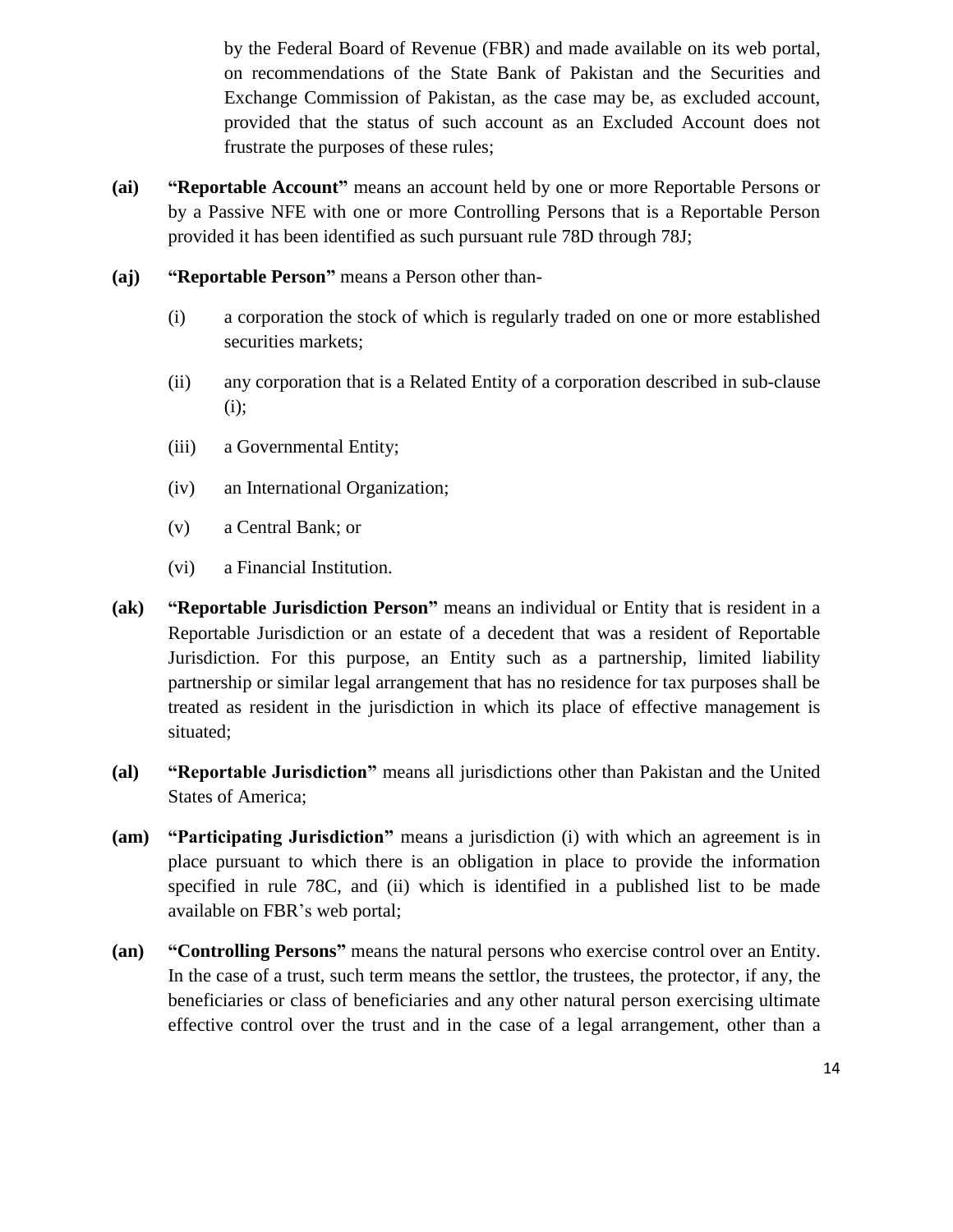by the Federal Board of Revenue (FBR) and made available on its web portal, on recommendations of the State Bank of Pakistan and the Securities and Exchange Commission of Pakistan, as the case may be, as excluded account, provided that the status of such account as an Excluded Account does not frustrate the purposes of these rules;

- **(ai) "Reportable Account"** means an account held by one or more Reportable Persons or by a Passive NFE with one or more Controlling Persons that is a Reportable Person provided it has been identified as such pursuant rule 78D through 78J;
- **(aj) "Reportable Person"** means a Person other than-
	- (i) a corporation the stock of which is regularly traded on one or more established securities markets;
	- (ii) any corporation that is a Related Entity of a corporation described in sub-clause (i);
	- (iii) a Governmental Entity;
	- (iv) an International Organization;
	- (v) a Central Bank; or
	- (vi) a Financial Institution.
- **(ak) "Reportable Jurisdiction Person"** means an individual or Entity that is resident in a Reportable Jurisdiction or an estate of a decedent that was a resident of Reportable Jurisdiction. For this purpose, an Entity such as a partnership, limited liability partnership or similar legal arrangement that has no residence for tax purposes shall be treated as resident in the jurisdiction in which its place of effective management is situated;
- **(al) "Reportable Jurisdiction"** means all jurisdictions other than Pakistan and the United States of America;
- **(am) "Participating Jurisdiction"** means a jurisdiction (i) with which an agreement is in place pursuant to which there is an obligation in place to provide the information specified in rule 78C, and (ii) which is identified in a published list to be made available on FBR's web portal;
- **(an) "Controlling Persons"** means the natural persons who exercise control over an Entity. In the case of a trust, such term means the settlor, the trustees, the protector, if any, the beneficiaries or class of beneficiaries and any other natural person exercising ultimate effective control over the trust and in the case of a legal arrangement, other than a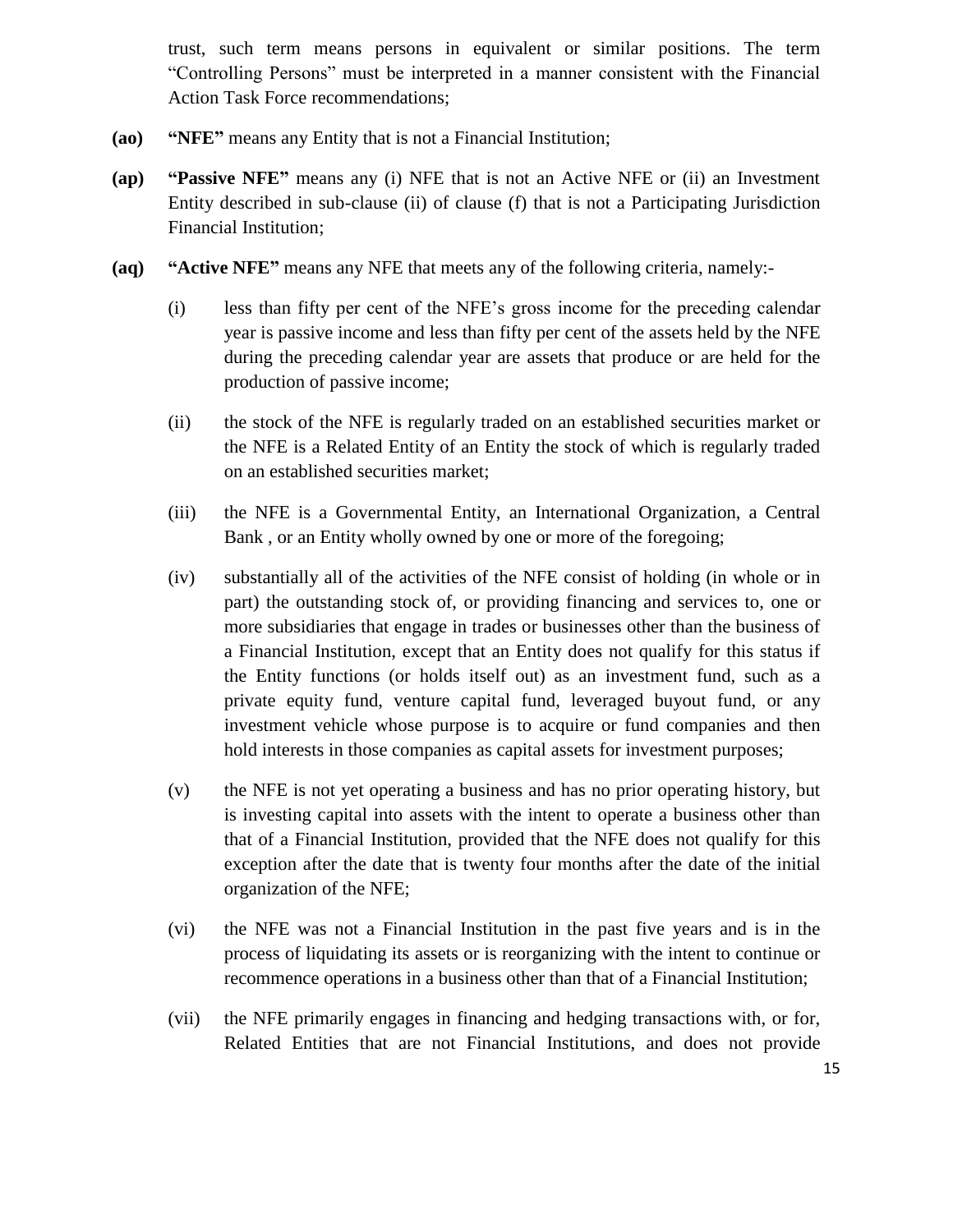trust, such term means persons in equivalent or similar positions. The term "Controlling Persons" must be interpreted in a manner consistent with the Financial Action Task Force recommendations;

- **(ao) "NFE"** means any Entity that is not a Financial Institution;
- **(ap) "Passive NFE"** means any (i) NFE that is not an Active NFE or (ii) an Investment Entity described in sub-clause (ii) of clause (f) that is not a Participating Jurisdiction Financial Institution;
- **(aq) "Active NFE"** means any NFE that meets any of the following criteria, namely:-
	- (i) less than fifty per cent of the NFE's gross income for the preceding calendar year is passive income and less than fifty per cent of the assets held by the NFE during the preceding calendar year are assets that produce or are held for the production of passive income;
	- (ii) the stock of the NFE is regularly traded on an established securities market or the NFE is a Related Entity of an Entity the stock of which is regularly traded on an established securities market;
	- (iii) the NFE is a Governmental Entity, an International Organization, a Central Bank , or an Entity wholly owned by one or more of the foregoing;
	- (iv) substantially all of the activities of the NFE consist of holding (in whole or in part) the outstanding stock of, or providing financing and services to, one or more subsidiaries that engage in trades or businesses other than the business of a Financial Institution, except that an Entity does not qualify for this status if the Entity functions (or holds itself out) as an investment fund, such as a private equity fund, venture capital fund, leveraged buyout fund, or any investment vehicle whose purpose is to acquire or fund companies and then hold interests in those companies as capital assets for investment purposes;
	- (v) the NFE is not yet operating a business and has no prior operating history, but is investing capital into assets with the intent to operate a business other than that of a Financial Institution, provided that the NFE does not qualify for this exception after the date that is twenty four months after the date of the initial organization of the NFE;
	- (vi) the NFE was not a Financial Institution in the past five years and is in the process of liquidating its assets or is reorganizing with the intent to continue or recommence operations in a business other than that of a Financial Institution;
	- (vii) the NFE primarily engages in financing and hedging transactions with, or for, Related Entities that are not Financial Institutions, and does not provide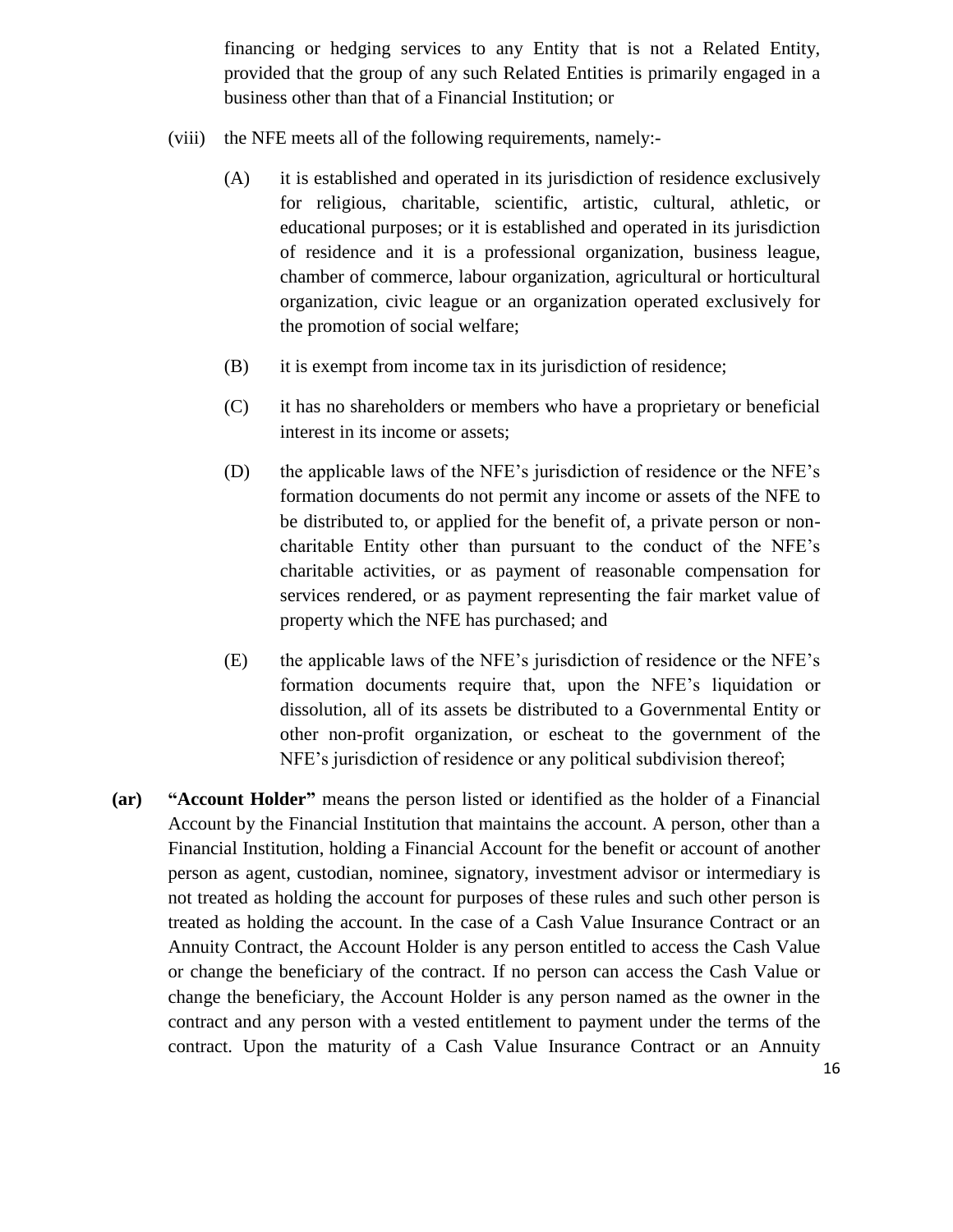financing or hedging services to any Entity that is not a Related Entity, provided that the group of any such Related Entities is primarily engaged in a business other than that of a Financial Institution; or

- (viii) the NFE meets all of the following requirements, namely:-
	- (A) it is established and operated in its jurisdiction of residence exclusively for religious, charitable, scientific, artistic, cultural, athletic, or educational purposes; or it is established and operated in its jurisdiction of residence and it is a professional organization, business league, chamber of commerce, labour organization, agricultural or horticultural organization, civic league or an organization operated exclusively for the promotion of social welfare;
	- (B) it is exempt from income tax in its jurisdiction of residence;
	- (C) it has no shareholders or members who have a proprietary or beneficial interest in its income or assets;
	- (D) the applicable laws of the NFE's jurisdiction of residence or the NFE's formation documents do not permit any income or assets of the NFE to be distributed to, or applied for the benefit of, a private person or noncharitable Entity other than pursuant to the conduct of the NFE's charitable activities, or as payment of reasonable compensation for services rendered, or as payment representing the fair market value of property which the NFE has purchased; and
	- (E) the applicable laws of the NFE's jurisdiction of residence or the NFE's formation documents require that, upon the NFE's liquidation or dissolution, all of its assets be distributed to a Governmental Entity or other non-profit organization, or escheat to the government of the NFE's jurisdiction of residence or any political subdivision thereof;
- **(ar) "Account Holder"** means the person listed or identified as the holder of a Financial Account by the Financial Institution that maintains the account. A person, other than a Financial Institution, holding a Financial Account for the benefit or account of another person as agent, custodian, nominee, signatory, investment advisor or intermediary is not treated as holding the account for purposes of these rules and such other person is treated as holding the account. In the case of a Cash Value Insurance Contract or an Annuity Contract, the Account Holder is any person entitled to access the Cash Value or change the beneficiary of the contract. If no person can access the Cash Value or change the beneficiary, the Account Holder is any person named as the owner in the contract and any person with a vested entitlement to payment under the terms of the contract. Upon the maturity of a Cash Value Insurance Contract or an Annuity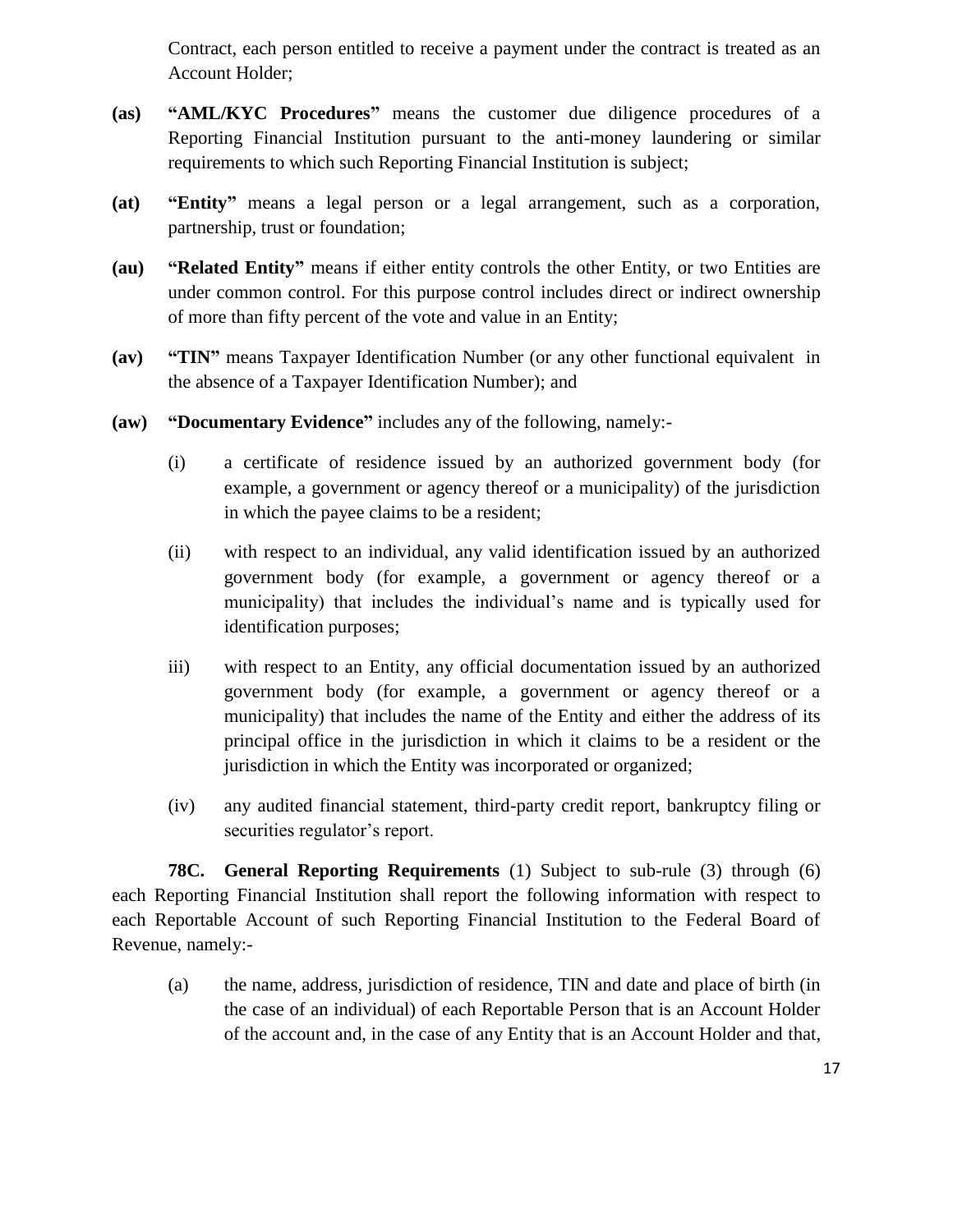Contract, each person entitled to receive a payment under the contract is treated as an Account Holder;

- **(as) "AML/KYC Procedures"** means the customer due diligence procedures of a Reporting Financial Institution pursuant to the anti-money laundering or similar requirements to which such Reporting Financial Institution is subject;
- **(at) "Entity"** means a legal person or a legal arrangement, such as a corporation, partnership, trust or foundation;
- **(au) "Related Entity"** means if either entity controls the other Entity, or two Entities are under common control. For this purpose control includes direct or indirect ownership of more than fifty percent of the vote and value in an Entity;
- **(av) "TIN"** means Taxpayer Identification Number (or any other functional equivalent in the absence of a Taxpayer Identification Number); and
- **(aw) "Documentary Evidence"** includes any of the following, namely:-
	- (i) a certificate of residence issued by an authorized government body (for example, a government or agency thereof or a municipality) of the jurisdiction in which the payee claims to be a resident;
	- (ii) with respect to an individual, any valid identification issued by an authorized government body (for example, a government or agency thereof or a municipality) that includes the individual's name and is typically used for identification purposes;
	- iii) with respect to an Entity, any official documentation issued by an authorized government body (for example, a government or agency thereof or a municipality) that includes the name of the Entity and either the address of its principal office in the jurisdiction in which it claims to be a resident or the jurisdiction in which the Entity was incorporated or organized;
	- (iv) any audited financial statement, third-party credit report, bankruptcy filing or securities regulator's report.

**78C. General Reporting Requirements** (1) Subject to sub-rule (3) through (6) each Reporting Financial Institution shall report the following information with respect to each Reportable Account of such Reporting Financial Institution to the Federal Board of Revenue, namely:-

(a) the name, address, jurisdiction of residence, TIN and date and place of birth (in the case of an individual) of each Reportable Person that is an Account Holder of the account and, in the case of any Entity that is an Account Holder and that,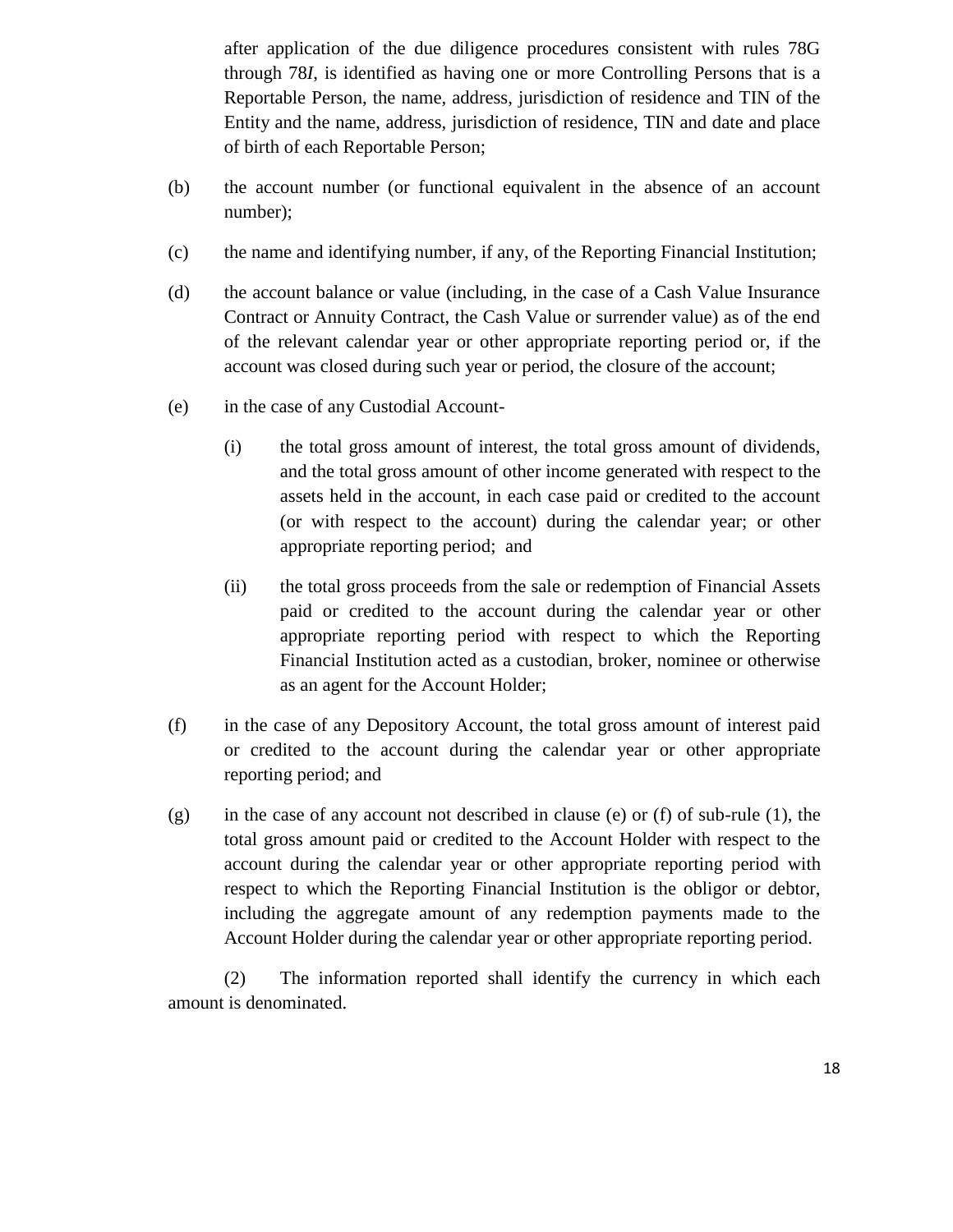after application of the due diligence procedures consistent with rules 78G through 78*I*, is identified as having one or more Controlling Persons that is a Reportable Person, the name, address, jurisdiction of residence and TIN of the Entity and the name, address, jurisdiction of residence, TIN and date and place of birth of each Reportable Person;

- (b) the account number (or functional equivalent in the absence of an account number);
- (c) the name and identifying number, if any, of the Reporting Financial Institution;
- (d) the account balance or value (including, in the case of a Cash Value Insurance Contract or Annuity Contract, the Cash Value or surrender value) as of the end of the relevant calendar year or other appropriate reporting period or, if the account was closed during such year or period, the closure of the account;
- (e) in the case of any Custodial Account-
	- (i) the total gross amount of interest, the total gross amount of dividends, and the total gross amount of other income generated with respect to the assets held in the account, in each case paid or credited to the account (or with respect to the account) during the calendar year; or other appropriate reporting period; and
	- (ii) the total gross proceeds from the sale or redemption of Financial Assets paid or credited to the account during the calendar year or other appropriate reporting period with respect to which the Reporting Financial Institution acted as a custodian, broker, nominee or otherwise as an agent for the Account Holder;
- (f) in the case of any Depository Account, the total gross amount of interest paid or credited to the account during the calendar year or other appropriate reporting period; and
- (g) in the case of any account not described in clause (e) or (f) of sub-rule (1), the total gross amount paid or credited to the Account Holder with respect to the account during the calendar year or other appropriate reporting period with respect to which the Reporting Financial Institution is the obligor or debtor, including the aggregate amount of any redemption payments made to the Account Holder during the calendar year or other appropriate reporting period.

(2) The information reported shall identify the currency in which each amount is denominated.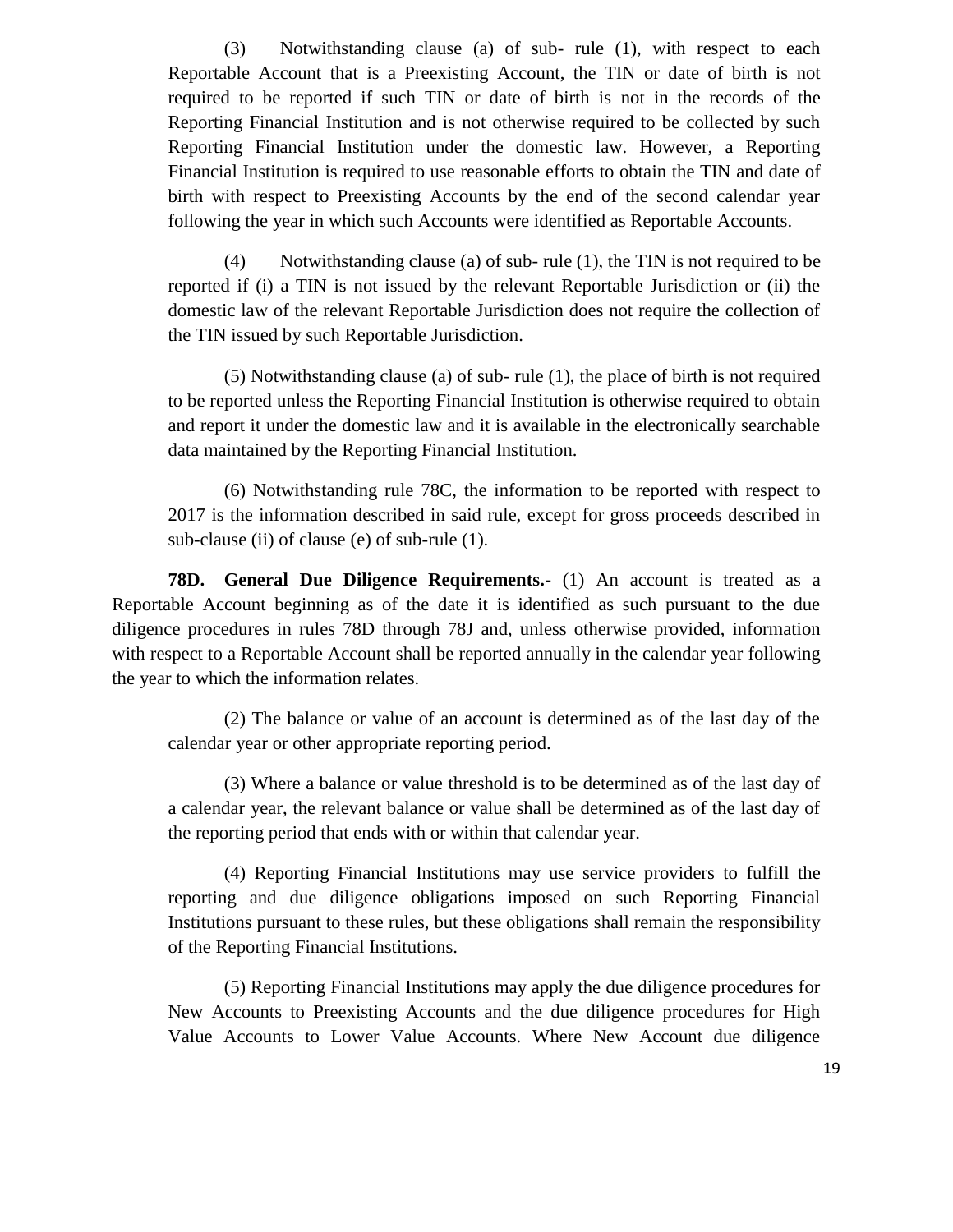(3) Notwithstanding clause (a) of sub- rule (1), with respect to each Reportable Account that is a Preexisting Account, the TIN or date of birth is not required to be reported if such TIN or date of birth is not in the records of the Reporting Financial Institution and is not otherwise required to be collected by such Reporting Financial Institution under the domestic law. However, a Reporting Financial Institution is required to use reasonable efforts to obtain the TIN and date of birth with respect to Preexisting Accounts by the end of the second calendar year following the year in which such Accounts were identified as Reportable Accounts.

(4) Notwithstanding clause (a) of sub- rule (1), the TIN is not required to be reported if (i) a TIN is not issued by the relevant Reportable Jurisdiction or (ii) the domestic law of the relevant Reportable Jurisdiction does not require the collection of the TIN issued by such Reportable Jurisdiction.

(5) Notwithstanding clause (a) of sub- rule (1), the place of birth is not required to be reported unless the Reporting Financial Institution is otherwise required to obtain and report it under the domestic law and it is available in the electronically searchable data maintained by the Reporting Financial Institution.

(6) Notwithstanding rule 78C, the information to be reported with respect to 2017 is the information described in said rule, except for gross proceeds described in sub-clause (ii) of clause (e) of sub-rule (1).

**78D. General Due Diligence Requirements.-** (1) An account is treated as a Reportable Account beginning as of the date it is identified as such pursuant to the due diligence procedures in rules 78D through 78J and, unless otherwise provided, information with respect to a Reportable Account shall be reported annually in the calendar year following the year to which the information relates.

(2) The balance or value of an account is determined as of the last day of the calendar year or other appropriate reporting period.

(3) Where a balance or value threshold is to be determined as of the last day of a calendar year, the relevant balance or value shall be determined as of the last day of the reporting period that ends with or within that calendar year.

(4) Reporting Financial Institutions may use service providers to fulfill the reporting and due diligence obligations imposed on such Reporting Financial Institutions pursuant to these rules, but these obligations shall remain the responsibility of the Reporting Financial Institutions.

(5) Reporting Financial Institutions may apply the due diligence procedures for New Accounts to Preexisting Accounts and the due diligence procedures for High Value Accounts to Lower Value Accounts. Where New Account due diligence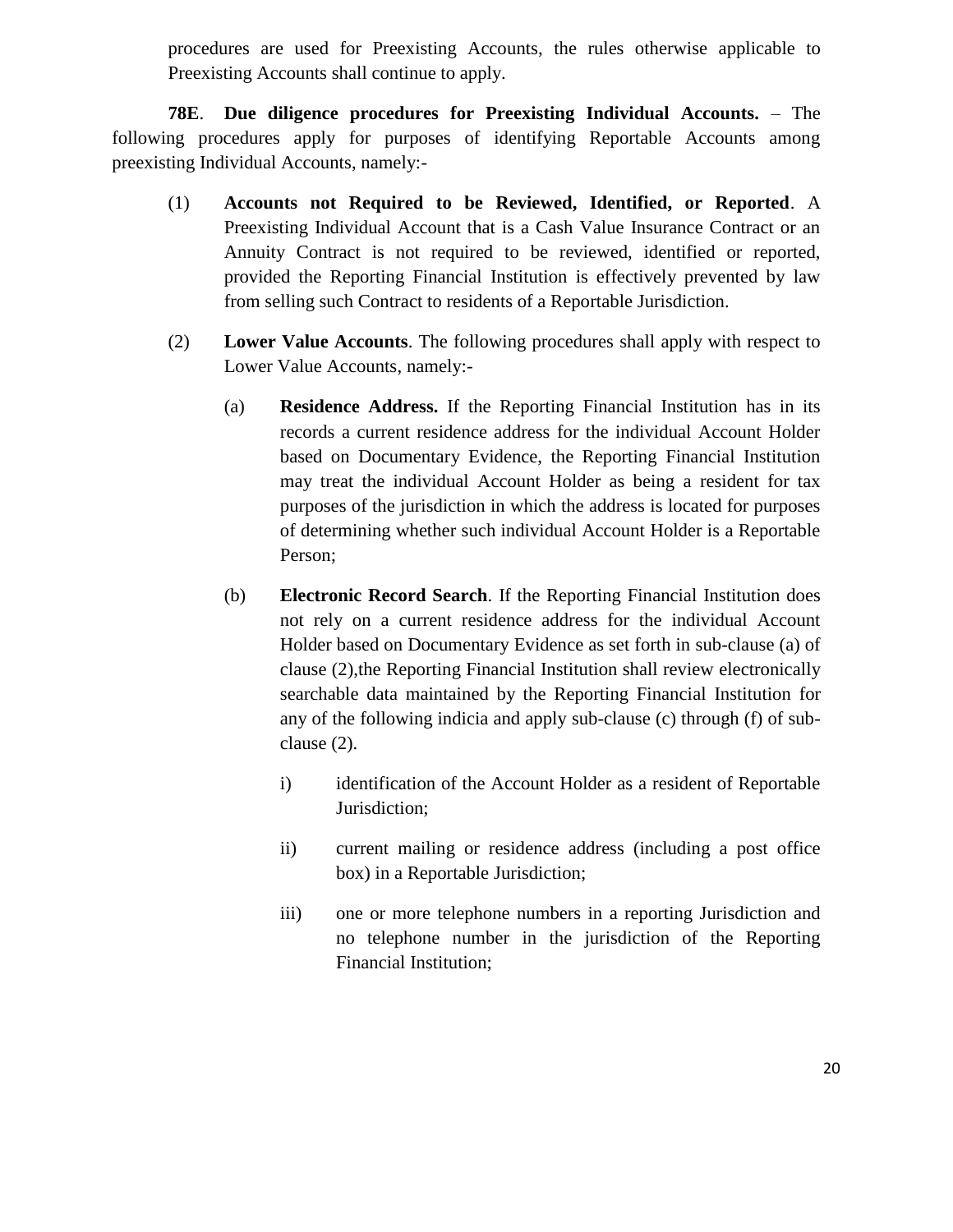procedures are used for Preexisting Accounts, the rules otherwise applicable to Preexisting Accounts shall continue to apply.

**78E**. **Due diligence procedures for Preexisting Individual Accounts.** – The following procedures apply for purposes of identifying Reportable Accounts among preexisting Individual Accounts, namely:-

- (1) **Accounts not Required to be Reviewed, Identified, or Reported**. A Preexisting Individual Account that is a Cash Value Insurance Contract or an Annuity Contract is not required to be reviewed, identified or reported, provided the Reporting Financial Institution is effectively prevented by law from selling such Contract to residents of a Reportable Jurisdiction.
- (2) **Lower Value Accounts**. The following procedures shall apply with respect to Lower Value Accounts, namely:-
	- (a) **Residence Address.** If the Reporting Financial Institution has in its records a current residence address for the individual Account Holder based on Documentary Evidence, the Reporting Financial Institution may treat the individual Account Holder as being a resident for tax purposes of the jurisdiction in which the address is located for purposes of determining whether such individual Account Holder is a Reportable Person;
	- (b) **Electronic Record Search**. If the Reporting Financial Institution does not rely on a current residence address for the individual Account Holder based on Documentary Evidence as set forth in sub-clause (a) of clause (2),the Reporting Financial Institution shall review electronically searchable data maintained by the Reporting Financial Institution for any of the following indicia and apply sub-clause (c) through (f) of subclause (2).
		- i) identification of the Account Holder as a resident of Reportable Jurisdiction;
		- ii) current mailing or residence address (including a post office box) in a Reportable Jurisdiction;
		- iii) one or more telephone numbers in a reporting Jurisdiction and no telephone number in the jurisdiction of the Reporting Financial Institution;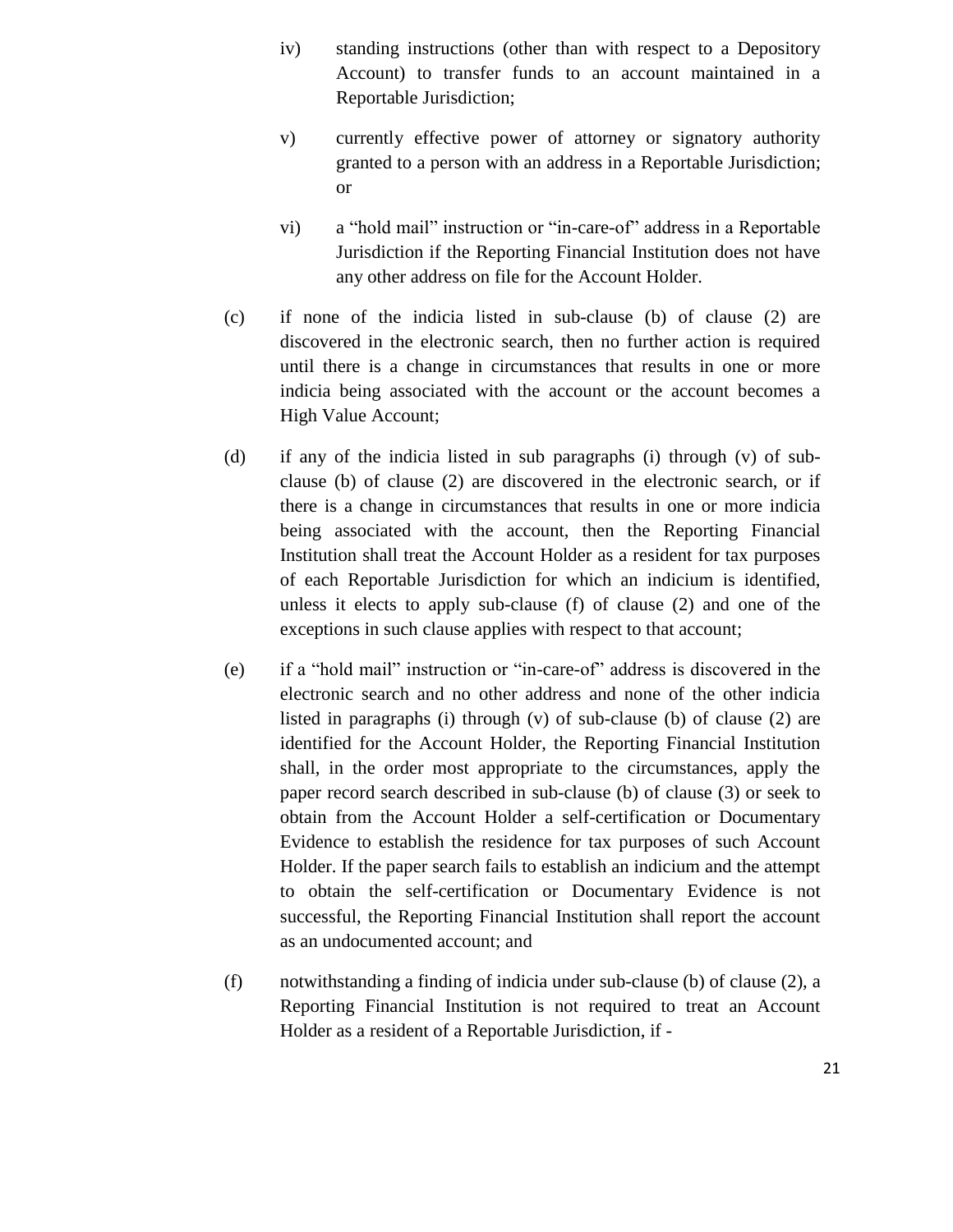- iv) standing instructions (other than with respect to a Depository Account) to transfer funds to an account maintained in a Reportable Jurisdiction;
- v) currently effective power of attorney or signatory authority granted to a person with an address in a Reportable Jurisdiction; or
- vi) a "hold mail" instruction or "in-care-of" address in a Reportable Jurisdiction if the Reporting Financial Institution does not have any other address on file for the Account Holder.
- (c) if none of the indicia listed in sub-clause (b) of clause (2) are discovered in the electronic search, then no further action is required until there is a change in circumstances that results in one or more indicia being associated with the account or the account becomes a High Value Account;
- (d) if any of the indicia listed in sub paragraphs (i) through (v) of subclause (b) of clause (2) are discovered in the electronic search, or if there is a change in circumstances that results in one or more indicia being associated with the account, then the Reporting Financial Institution shall treat the Account Holder as a resident for tax purposes of each Reportable Jurisdiction for which an indicium is identified, unless it elects to apply sub-clause (f) of clause (2) and one of the exceptions in such clause applies with respect to that account;
- (e) if a "hold mail" instruction or "in-care-of" address is discovered in the electronic search and no other address and none of the other indicia listed in paragraphs (i) through (v) of sub-clause (b) of clause (2) are identified for the Account Holder, the Reporting Financial Institution shall, in the order most appropriate to the circumstances, apply the paper record search described in sub-clause (b) of clause (3) or seek to obtain from the Account Holder a self-certification or Documentary Evidence to establish the residence for tax purposes of such Account Holder. If the paper search fails to establish an indicium and the attempt to obtain the self-certification or Documentary Evidence is not successful, the Reporting Financial Institution shall report the account as an undocumented account; and
- (f) notwithstanding a finding of indicia under sub-clause (b) of clause (2), a Reporting Financial Institution is not required to treat an Account Holder as a resident of a Reportable Jurisdiction, if -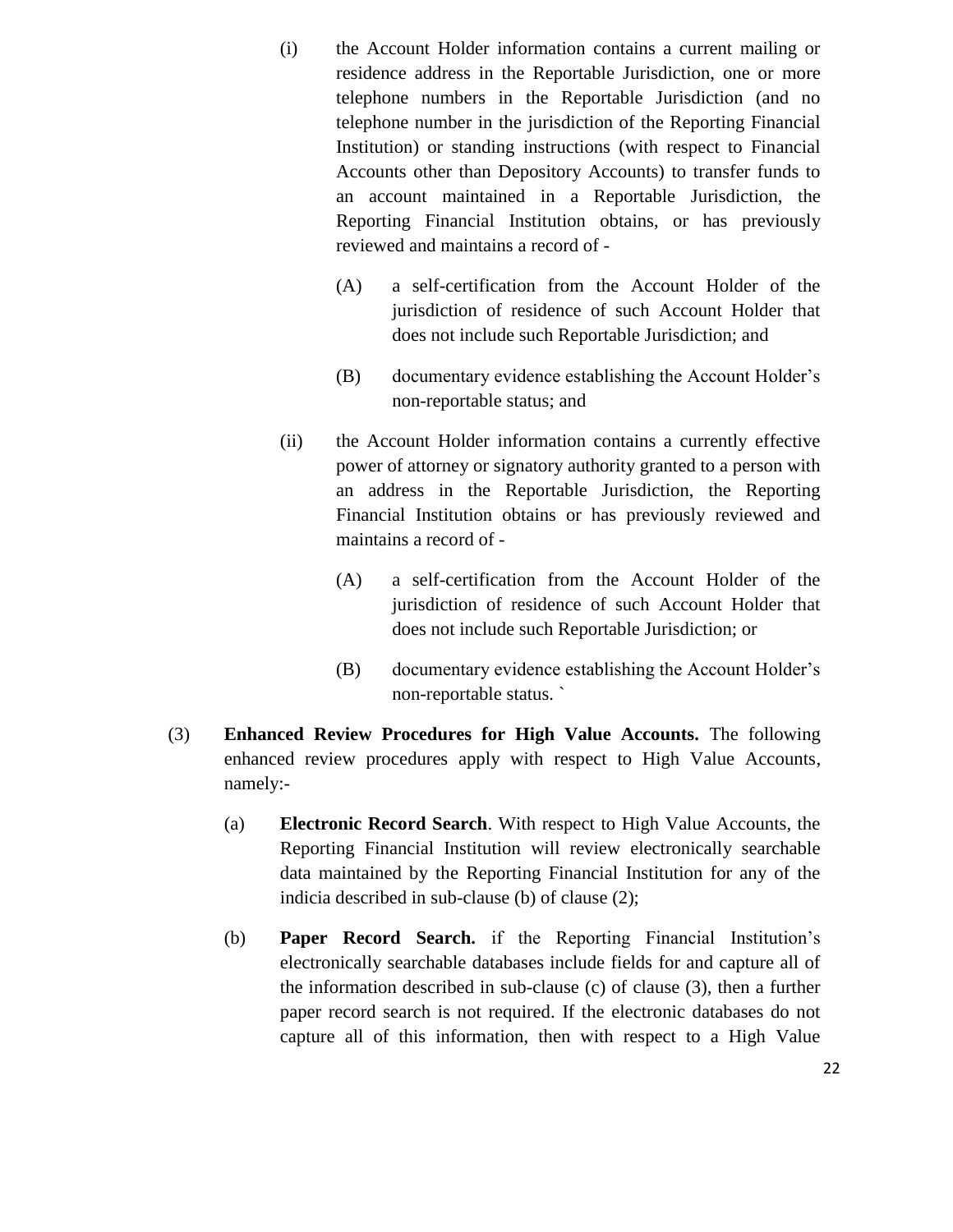- (i) the Account Holder information contains a current mailing or residence address in the Reportable Jurisdiction, one or more telephone numbers in the Reportable Jurisdiction (and no telephone number in the jurisdiction of the Reporting Financial Institution) or standing instructions (with respect to Financial Accounts other than Depository Accounts) to transfer funds to an account maintained in a Reportable Jurisdiction, the Reporting Financial Institution obtains, or has previously reviewed and maintains a record of -
	- (A) a self-certification from the Account Holder of the jurisdiction of residence of such Account Holder that does not include such Reportable Jurisdiction; and
	- (B) documentary evidence establishing the Account Holder's non-reportable status; and
- (ii) the Account Holder information contains a currently effective power of attorney or signatory authority granted to a person with an address in the Reportable Jurisdiction, the Reporting Financial Institution obtains or has previously reviewed and maintains a record of -
	- (A) a self-certification from the Account Holder of the jurisdiction of residence of such Account Holder that does not include such Reportable Jurisdiction; or
	- (B) documentary evidence establishing the Account Holder's non-reportable status. `
- (3) **Enhanced Review Procedures for High Value Accounts.** The following enhanced review procedures apply with respect to High Value Accounts, namely:-
	- (a) **Electronic Record Search**. With respect to High Value Accounts, the Reporting Financial Institution will review electronically searchable data maintained by the Reporting Financial Institution for any of the indicia described in sub-clause (b) of clause (2);
	- (b) **Paper Record Search.** if the Reporting Financial Institution's electronically searchable databases include fields for and capture all of the information described in sub-clause (c) of clause (3), then a further paper record search is not required. If the electronic databases do not capture all of this information, then with respect to a High Value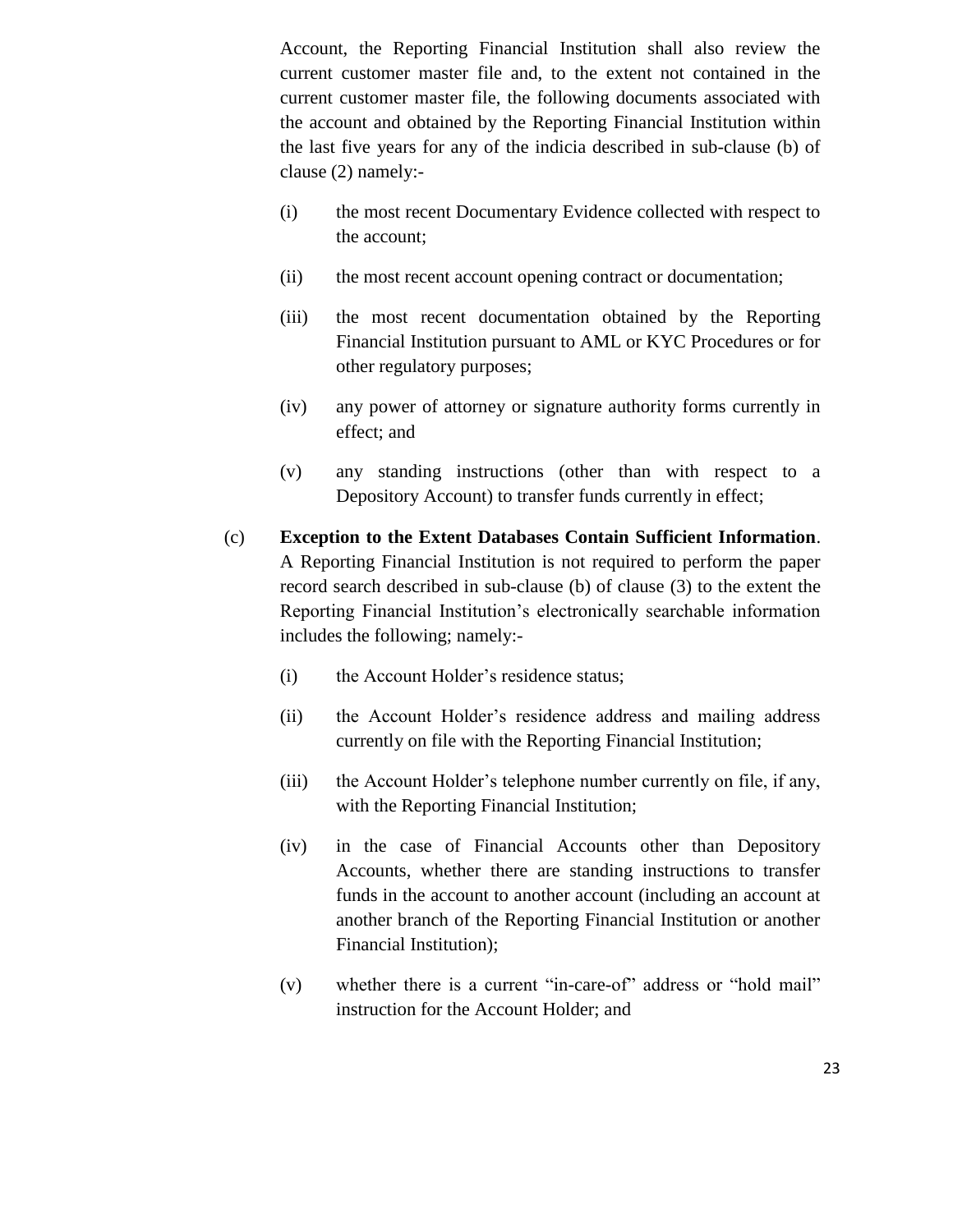Account, the Reporting Financial Institution shall also review the current customer master file and, to the extent not contained in the current customer master file, the following documents associated with the account and obtained by the Reporting Financial Institution within the last five years for any of the indicia described in sub-clause (b) of clause (2) namely:-

- (i) the most recent Documentary Evidence collected with respect to the account;
- (ii) the most recent account opening contract or documentation;
- (iii) the most recent documentation obtained by the Reporting Financial Institution pursuant to AML or KYC Procedures or for other regulatory purposes;
- (iv) any power of attorney or signature authority forms currently in effect; and
- (v) any standing instructions (other than with respect to a Depository Account) to transfer funds currently in effect;
- (c) **Exception to the Extent Databases Contain Sufficient Information**. A Reporting Financial Institution is not required to perform the paper record search described in sub-clause (b) of clause (3) to the extent the Reporting Financial Institution's electronically searchable information includes the following; namely:-
	- (i) the Account Holder's residence status;
	- (ii) the Account Holder's residence address and mailing address currently on file with the Reporting Financial Institution;
	- (iii) the Account Holder's telephone number currently on file, if any, with the Reporting Financial Institution;
	- (iv) in the case of Financial Accounts other than Depository Accounts, whether there are standing instructions to transfer funds in the account to another account (including an account at another branch of the Reporting Financial Institution or another Financial Institution);
	- (v) whether there is a current "in-care-of" address or "hold mail" instruction for the Account Holder; and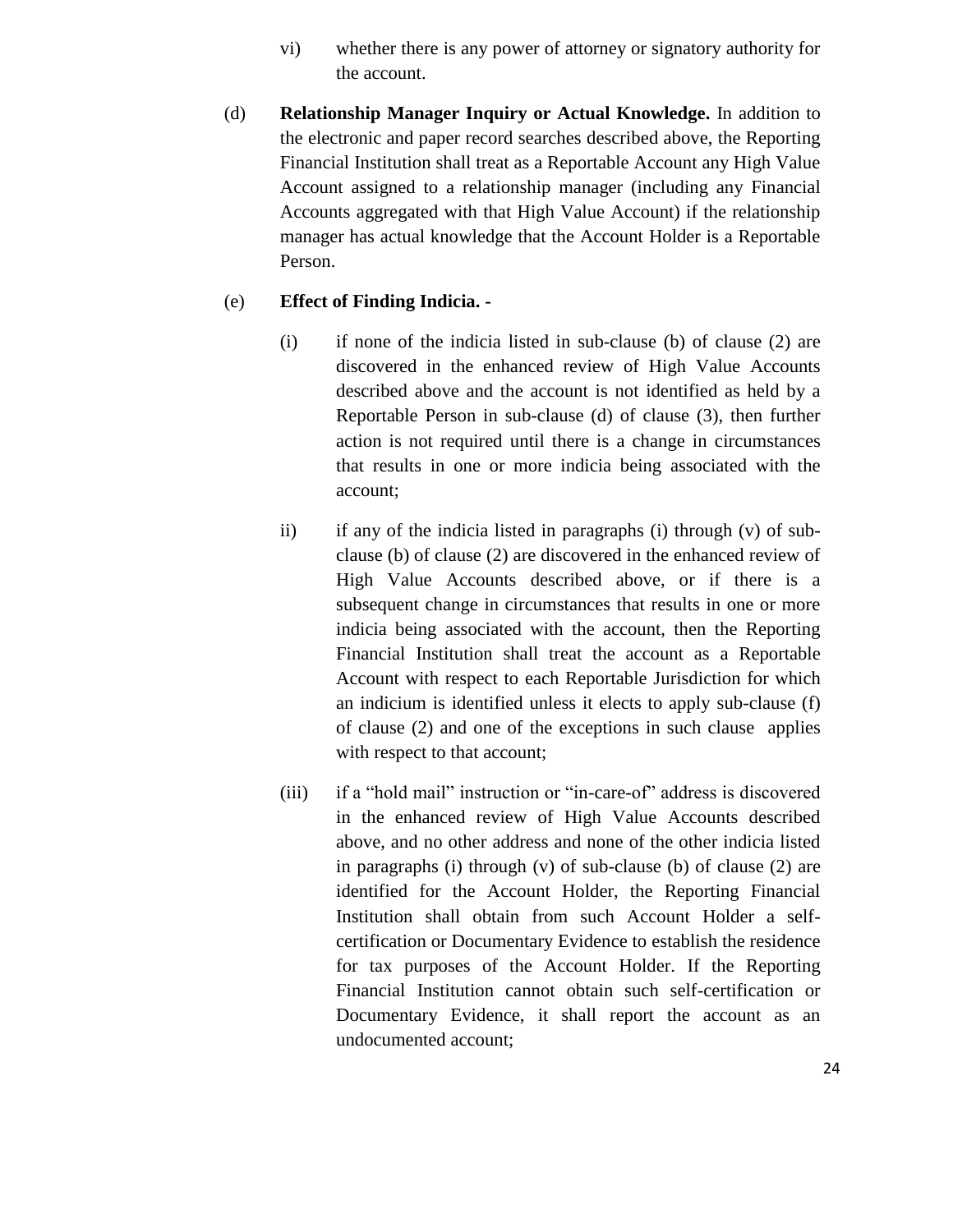- vi) whether there is any power of attorney or signatory authority for the account.
- (d) **Relationship Manager Inquiry or Actual Knowledge.** In addition to the electronic and paper record searches described above, the Reporting Financial Institution shall treat as a Reportable Account any High Value Account assigned to a relationship manager (including any Financial Accounts aggregated with that High Value Account) if the relationship manager has actual knowledge that the Account Holder is a Reportable Person.

### (e) **Effect of Finding Indicia. -**

- (i) if none of the indicia listed in sub-clause (b) of clause (2) are discovered in the enhanced review of High Value Accounts described above and the account is not identified as held by a Reportable Person in sub-clause (d) of clause (3), then further action is not required until there is a change in circumstances that results in one or more indicia being associated with the account;
- ii) if any of the indicia listed in paragraphs (i) through (v) of subclause (b) of clause (2) are discovered in the enhanced review of High Value Accounts described above, or if there is a subsequent change in circumstances that results in one or more indicia being associated with the account, then the Reporting Financial Institution shall treat the account as a Reportable Account with respect to each Reportable Jurisdiction for which an indicium is identified unless it elects to apply sub-clause (f) of clause (2) and one of the exceptions in such clause applies with respect to that account;
- (iii) if a "hold mail" instruction or "in-care-of" address is discovered in the enhanced review of High Value Accounts described above, and no other address and none of the other indicia listed in paragraphs (i) through (v) of sub-clause (b) of clause (2) are identified for the Account Holder, the Reporting Financial Institution shall obtain from such Account Holder a selfcertification or Documentary Evidence to establish the residence for tax purposes of the Account Holder. If the Reporting Financial Institution cannot obtain such self-certification or Documentary Evidence, it shall report the account as an undocumented account;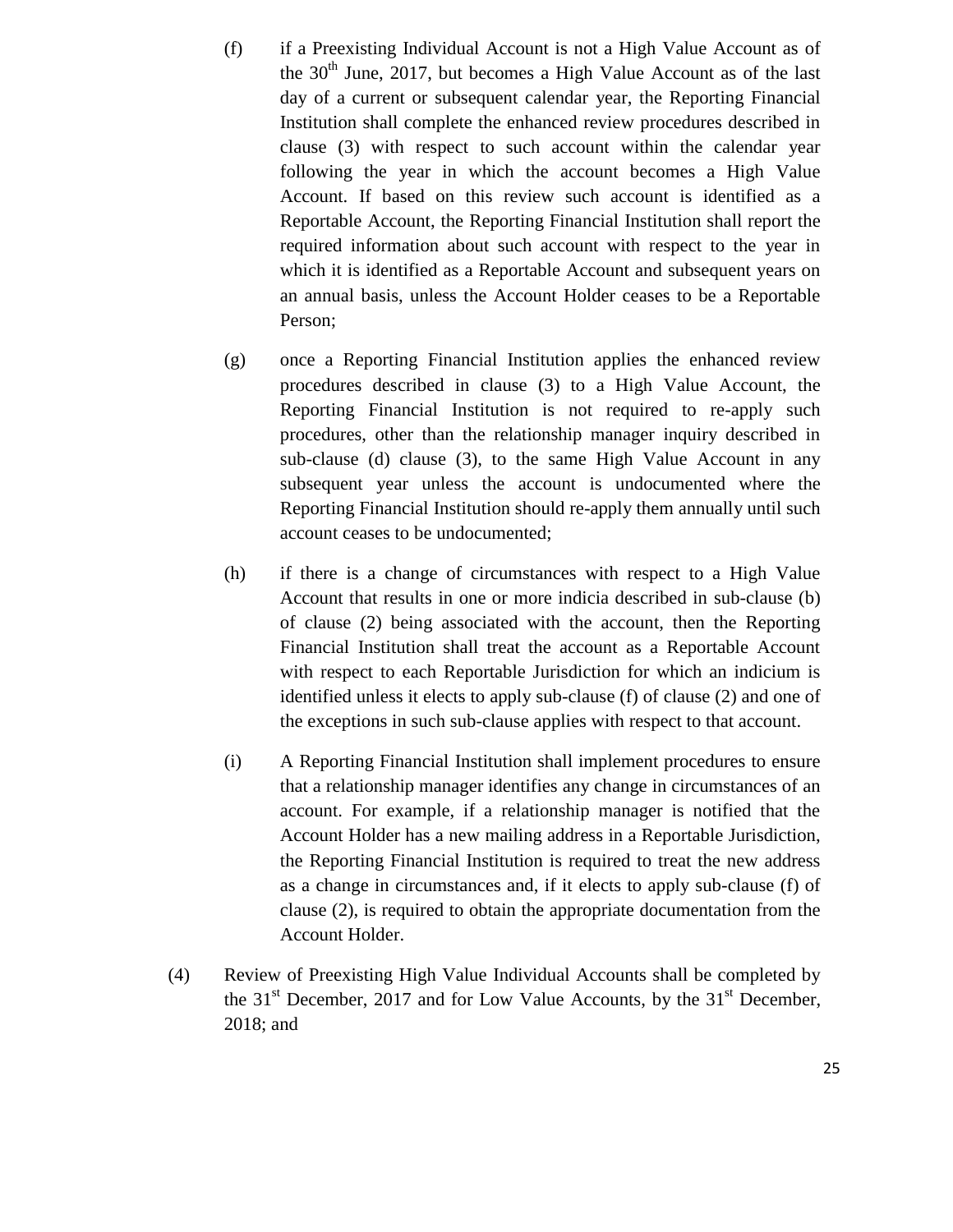- (f) if a Preexisting Individual Account is not a High Value Account as of the  $30<sup>th</sup>$  June, 2017, but becomes a High Value Account as of the last day of a current or subsequent calendar year, the Reporting Financial Institution shall complete the enhanced review procedures described in clause (3) with respect to such account within the calendar year following the year in which the account becomes a High Value Account. If based on this review such account is identified as a Reportable Account, the Reporting Financial Institution shall report the required information about such account with respect to the year in which it is identified as a Reportable Account and subsequent years on an annual basis, unless the Account Holder ceases to be a Reportable Person;
- (g) once a Reporting Financial Institution applies the enhanced review procedures described in clause (3) to a High Value Account, the Reporting Financial Institution is not required to re-apply such procedures, other than the relationship manager inquiry described in sub-clause (d) clause (3), to the same High Value Account in any subsequent year unless the account is undocumented where the Reporting Financial Institution should re-apply them annually until such account ceases to be undocumented;
- (h) if there is a change of circumstances with respect to a High Value Account that results in one or more indicia described in sub-clause (b) of clause (2) being associated with the account, then the Reporting Financial Institution shall treat the account as a Reportable Account with respect to each Reportable Jurisdiction for which an indicium is identified unless it elects to apply sub-clause (f) of clause (2) and one of the exceptions in such sub-clause applies with respect to that account.
- (i) A Reporting Financial Institution shall implement procedures to ensure that a relationship manager identifies any change in circumstances of an account. For example, if a relationship manager is notified that the Account Holder has a new mailing address in a Reportable Jurisdiction, the Reporting Financial Institution is required to treat the new address as a change in circumstances and, if it elects to apply sub-clause (f) of clause (2), is required to obtain the appropriate documentation from the Account Holder.
- (4) Review of Preexisting High Value Individual Accounts shall be completed by the  $31<sup>st</sup>$  December, 2017 and for Low Value Accounts, by the  $31<sup>st</sup>$  December, 2018; and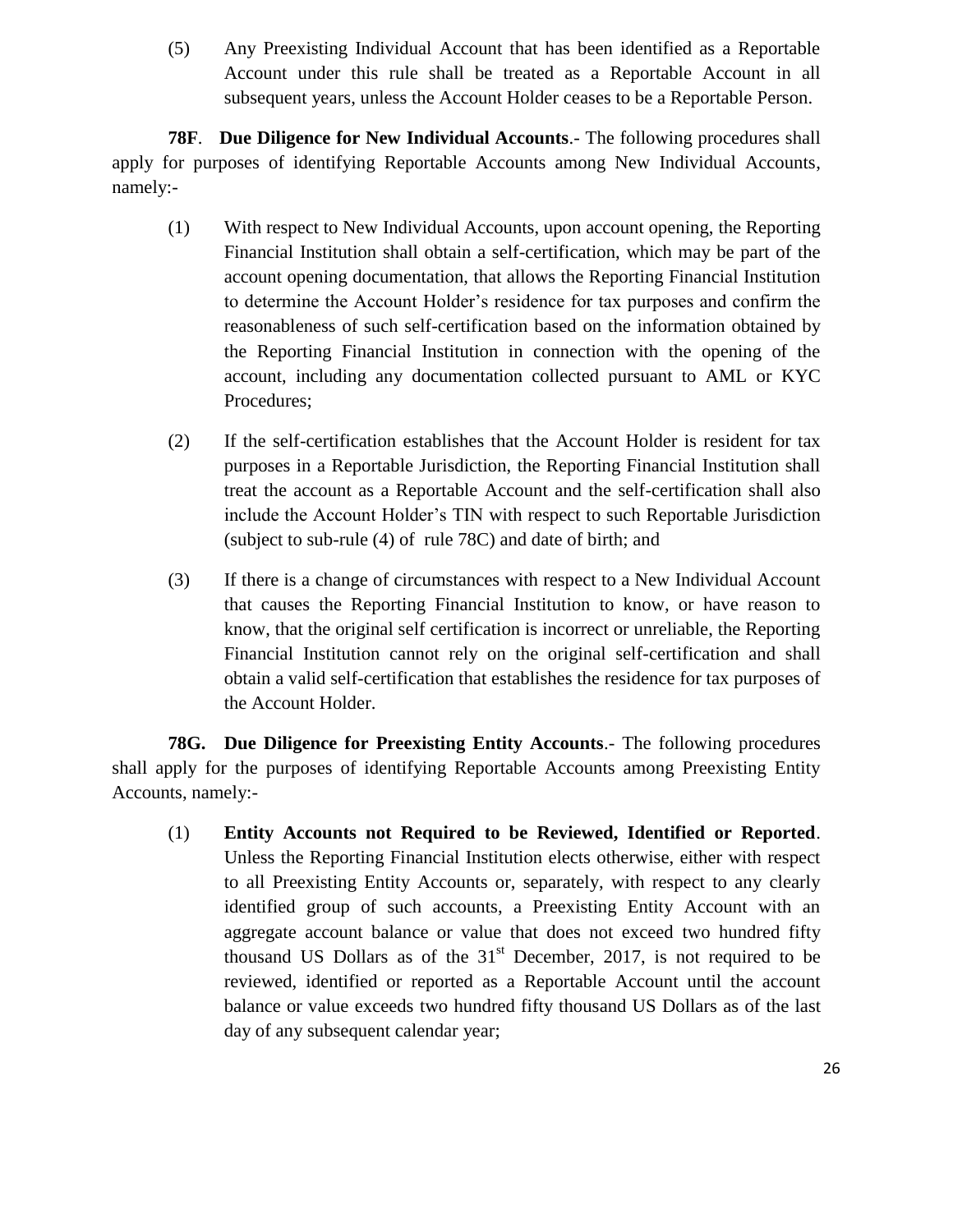(5) Any Preexisting Individual Account that has been identified as a Reportable Account under this rule shall be treated as a Reportable Account in all subsequent years, unless the Account Holder ceases to be a Reportable Person.

**78F**. **Due Diligence for New Individual Accounts**.- The following procedures shall apply for purposes of identifying Reportable Accounts among New Individual Accounts, namely:-

- (1) With respect to New Individual Accounts, upon account opening, the Reporting Financial Institution shall obtain a self-certification, which may be part of the account opening documentation, that allows the Reporting Financial Institution to determine the Account Holder's residence for tax purposes and confirm the reasonableness of such self-certification based on the information obtained by the Reporting Financial Institution in connection with the opening of the account, including any documentation collected pursuant to AML or KYC Procedures;
- (2) If the self-certification establishes that the Account Holder is resident for tax purposes in a Reportable Jurisdiction, the Reporting Financial Institution shall treat the account as a Reportable Account and the self-certification shall also include the Account Holder's TIN with respect to such Reportable Jurisdiction (subject to sub-rule (4) of rule 78C) and date of birth; and
- (3) If there is a change of circumstances with respect to a New Individual Account that causes the Reporting Financial Institution to know, or have reason to know, that the original self certification is incorrect or unreliable, the Reporting Financial Institution cannot rely on the original self-certification and shall obtain a valid self-certification that establishes the residence for tax purposes of the Account Holder.

**78G. Due Diligence for Preexisting Entity Accounts**.- The following procedures shall apply for the purposes of identifying Reportable Accounts among Preexisting Entity Accounts, namely:-

(1) **Entity Accounts not Required to be Reviewed, Identified or Reported**. Unless the Reporting Financial Institution elects otherwise, either with respect to all Preexisting Entity Accounts or, separately, with respect to any clearly identified group of such accounts, a Preexisting Entity Account with an aggregate account balance or value that does not exceed two hundred fifty thousand US Dollars as of the  $31<sup>st</sup>$  December, 2017, is not required to be reviewed, identified or reported as a Reportable Account until the account balance or value exceeds two hundred fifty thousand US Dollars as of the last day of any subsequent calendar year;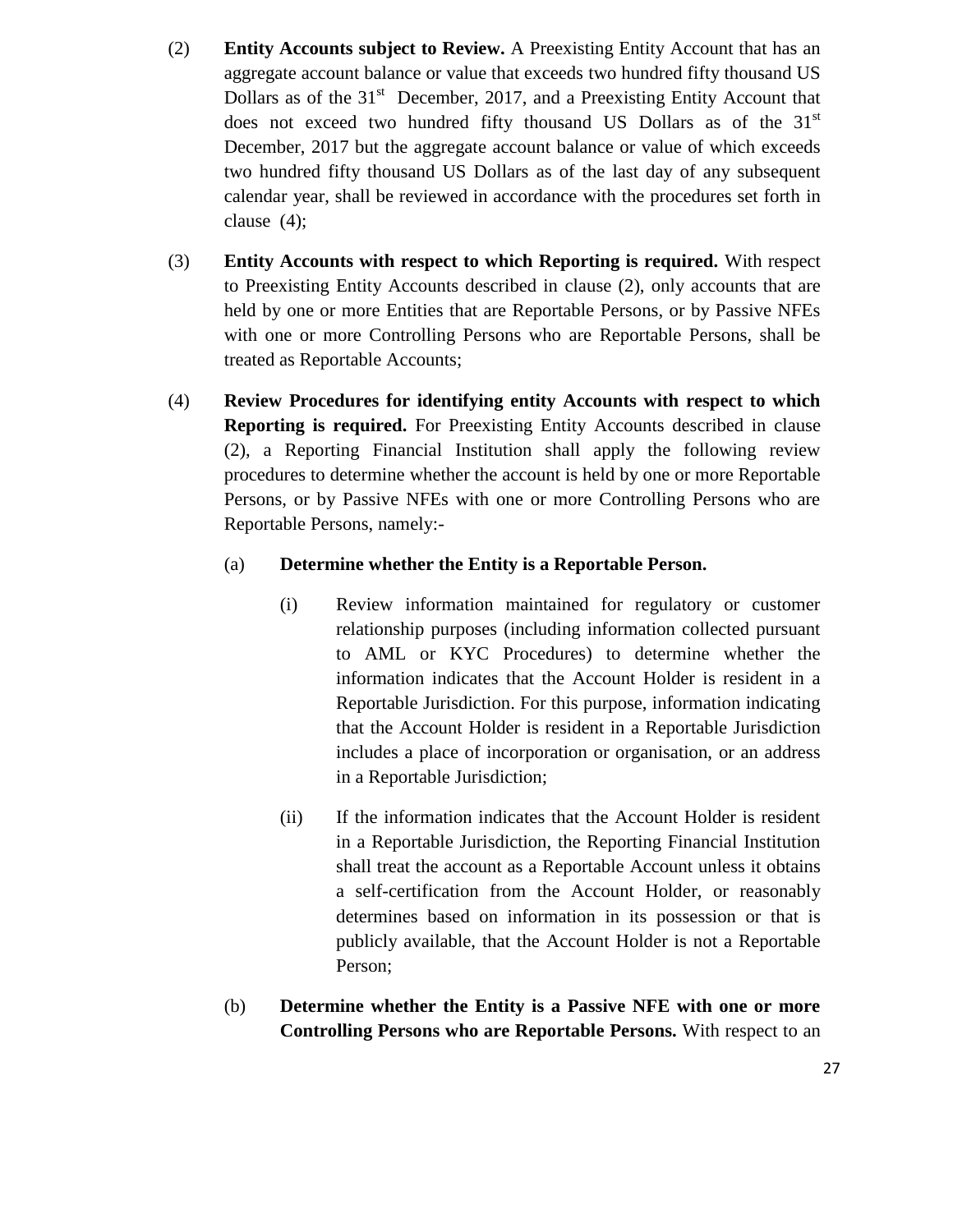- (2) **Entity Accounts subject to Review.** A Preexisting Entity Account that has an aggregate account balance or value that exceeds two hundred fifty thousand US Dollars as of the  $31<sup>st</sup>$  December, 2017, and a Preexisting Entity Account that does not exceed two hundred fifty thousand US Dollars as of the 31<sup>st</sup> December, 2017 but the aggregate account balance or value of which exceeds two hundred fifty thousand US Dollars as of the last day of any subsequent calendar year, shall be reviewed in accordance with the procedures set forth in clause (4);
- (3) **Entity Accounts with respect to which Reporting is required.** With respect to Preexisting Entity Accounts described in clause (2), only accounts that are held by one or more Entities that are Reportable Persons, or by Passive NFEs with one or more Controlling Persons who are Reportable Persons, shall be treated as Reportable Accounts;
- (4) **Review Procedures for identifying entity Accounts with respect to which Reporting is required.** For Preexisting Entity Accounts described in clause (2), a Reporting Financial Institution shall apply the following review procedures to determine whether the account is held by one or more Reportable Persons, or by Passive NFEs with one or more Controlling Persons who are Reportable Persons, namely:-

# (a) **Determine whether the Entity is a Reportable Person.**

- (i) Review information maintained for regulatory or customer relationship purposes (including information collected pursuant to AML or KYC Procedures) to determine whether the information indicates that the Account Holder is resident in a Reportable Jurisdiction. For this purpose, information indicating that the Account Holder is resident in a Reportable Jurisdiction includes a place of incorporation or organisation, or an address in a Reportable Jurisdiction;
- (ii) If the information indicates that the Account Holder is resident in a Reportable Jurisdiction, the Reporting Financial Institution shall treat the account as a Reportable Account unless it obtains a self-certification from the Account Holder, or reasonably determines based on information in its possession or that is publicly available, that the Account Holder is not a Reportable Person;
- (b) **Determine whether the Entity is a Passive NFE with one or more Controlling Persons who are Reportable Persons.** With respect to an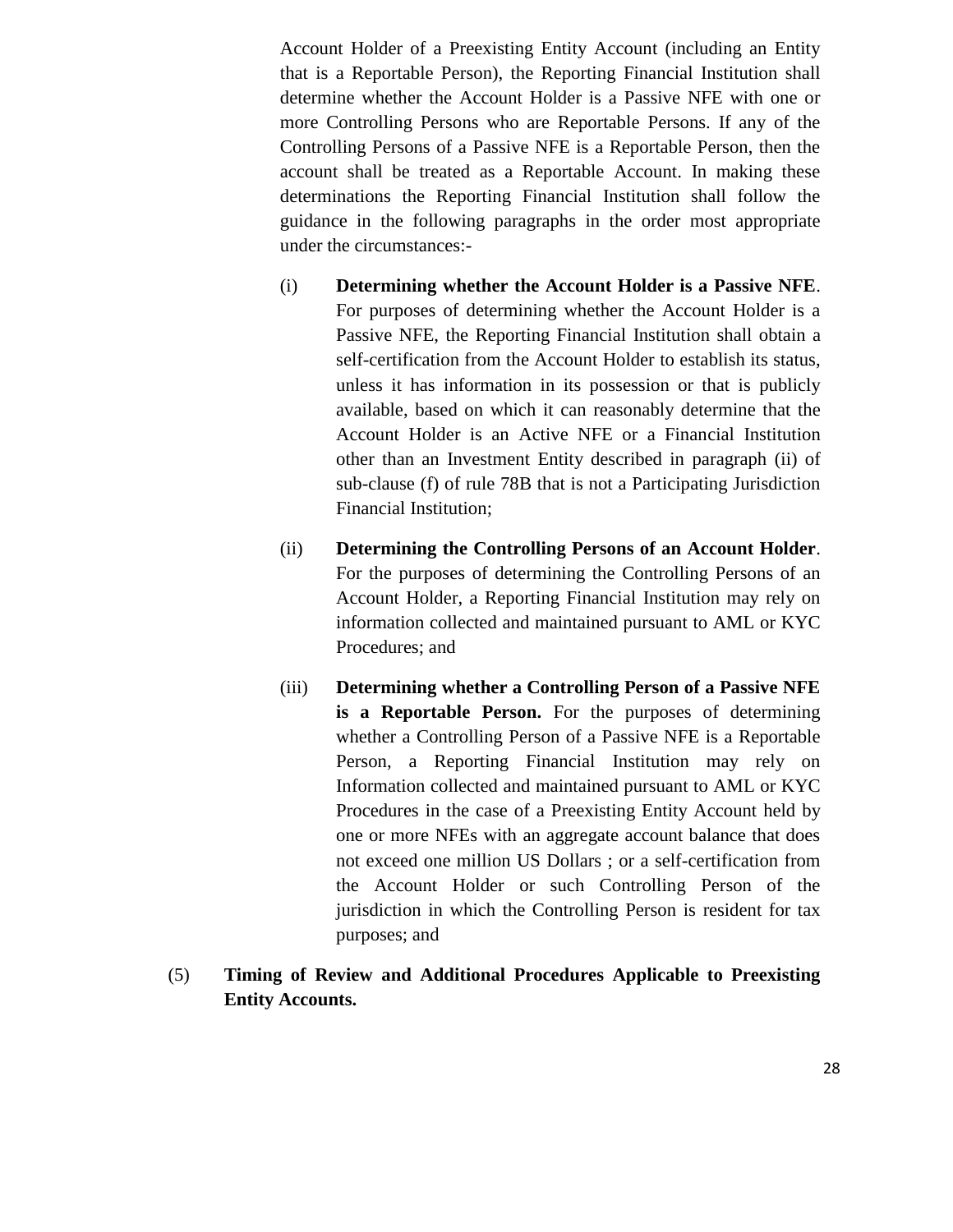Account Holder of a Preexisting Entity Account (including an Entity that is a Reportable Person), the Reporting Financial Institution shall determine whether the Account Holder is a Passive NFE with one or more Controlling Persons who are Reportable Persons. If any of the Controlling Persons of a Passive NFE is a Reportable Person, then the account shall be treated as a Reportable Account. In making these determinations the Reporting Financial Institution shall follow the guidance in the following paragraphs in the order most appropriate under the circumstances:-

- (i) **Determining whether the Account Holder is a Passive NFE**. For purposes of determining whether the Account Holder is a Passive NFE, the Reporting Financial Institution shall obtain a self-certification from the Account Holder to establish its status, unless it has information in its possession or that is publicly available, based on which it can reasonably determine that the Account Holder is an Active NFE or a Financial Institution other than an Investment Entity described in paragraph (ii) of sub-clause (f) of rule 78B that is not a Participating Jurisdiction Financial Institution;
- (ii) **Determining the Controlling Persons of an Account Holder**. For the purposes of determining the Controlling Persons of an Account Holder, a Reporting Financial Institution may rely on information collected and maintained pursuant to AML or KYC Procedures; and
- (iii) **Determining whether a Controlling Person of a Passive NFE is a Reportable Person.** For the purposes of determining whether a Controlling Person of a Passive NFE is a Reportable Person, a Reporting Financial Institution may rely on Information collected and maintained pursuant to AML or KYC Procedures in the case of a Preexisting Entity Account held by one or more NFEs with an aggregate account balance that does not exceed one million US Dollars ; or a self-certification from the Account Holder or such Controlling Person of the jurisdiction in which the Controlling Person is resident for tax purposes; and
- (5) **Timing of Review and Additional Procedures Applicable to Preexisting Entity Accounts.**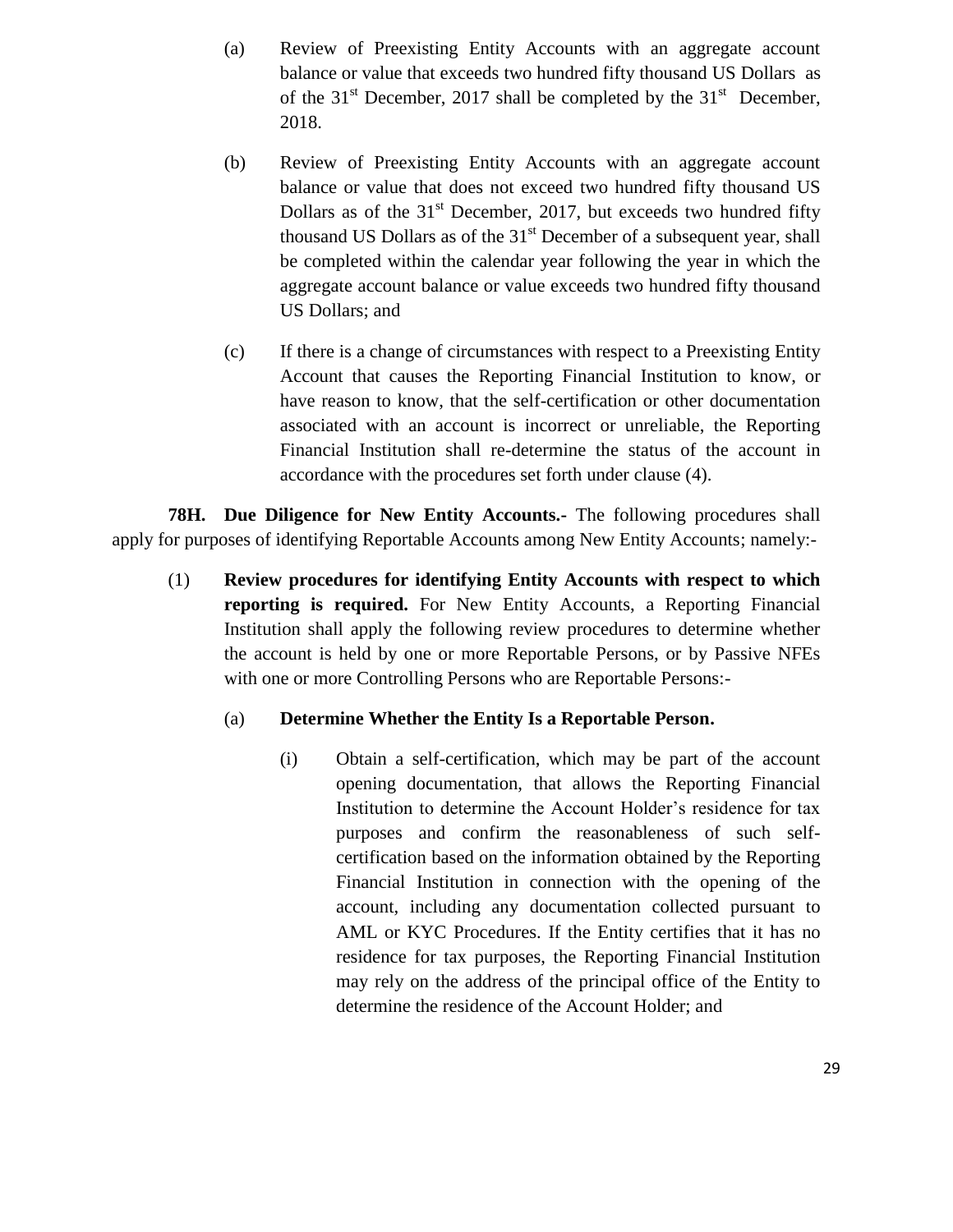- (a) Review of Preexisting Entity Accounts with an aggregate account balance or value that exceeds two hundred fifty thousand US Dollars as of the  $31<sup>st</sup>$  December, 2017 shall be completed by the  $31<sup>st</sup>$  December, 2018.
- (b) Review of Preexisting Entity Accounts with an aggregate account balance or value that does not exceed two hundred fifty thousand US Dollars as of the  $31<sup>st</sup>$  December, 2017, but exceeds two hundred fifty thousand US Dollars as of the  $31<sup>st</sup>$  December of a subsequent year, shall be completed within the calendar year following the year in which the aggregate account balance or value exceeds two hundred fifty thousand US Dollars; and
- (c) If there is a change of circumstances with respect to a Preexisting Entity Account that causes the Reporting Financial Institution to know, or have reason to know, that the self-certification or other documentation associated with an account is incorrect or unreliable, the Reporting Financial Institution shall re-determine the status of the account in accordance with the procedures set forth under clause (4).

**78H. Due Diligence for New Entity Accounts.-** The following procedures shall apply for purposes of identifying Reportable Accounts among New Entity Accounts; namely:-

(1) **Review procedures for identifying Entity Accounts with respect to which reporting is required.** For New Entity Accounts, a Reporting Financial Institution shall apply the following review procedures to determine whether the account is held by one or more Reportable Persons, or by Passive NFEs with one or more Controlling Persons who are Reportable Persons:-

# (a) **Determine Whether the Entity Is a Reportable Person.**

(i) Obtain a self-certification, which may be part of the account opening documentation, that allows the Reporting Financial Institution to determine the Account Holder's residence for tax purposes and confirm the reasonableness of such selfcertification based on the information obtained by the Reporting Financial Institution in connection with the opening of the account, including any documentation collected pursuant to AML or KYC Procedures. If the Entity certifies that it has no residence for tax purposes, the Reporting Financial Institution may rely on the address of the principal office of the Entity to determine the residence of the Account Holder; and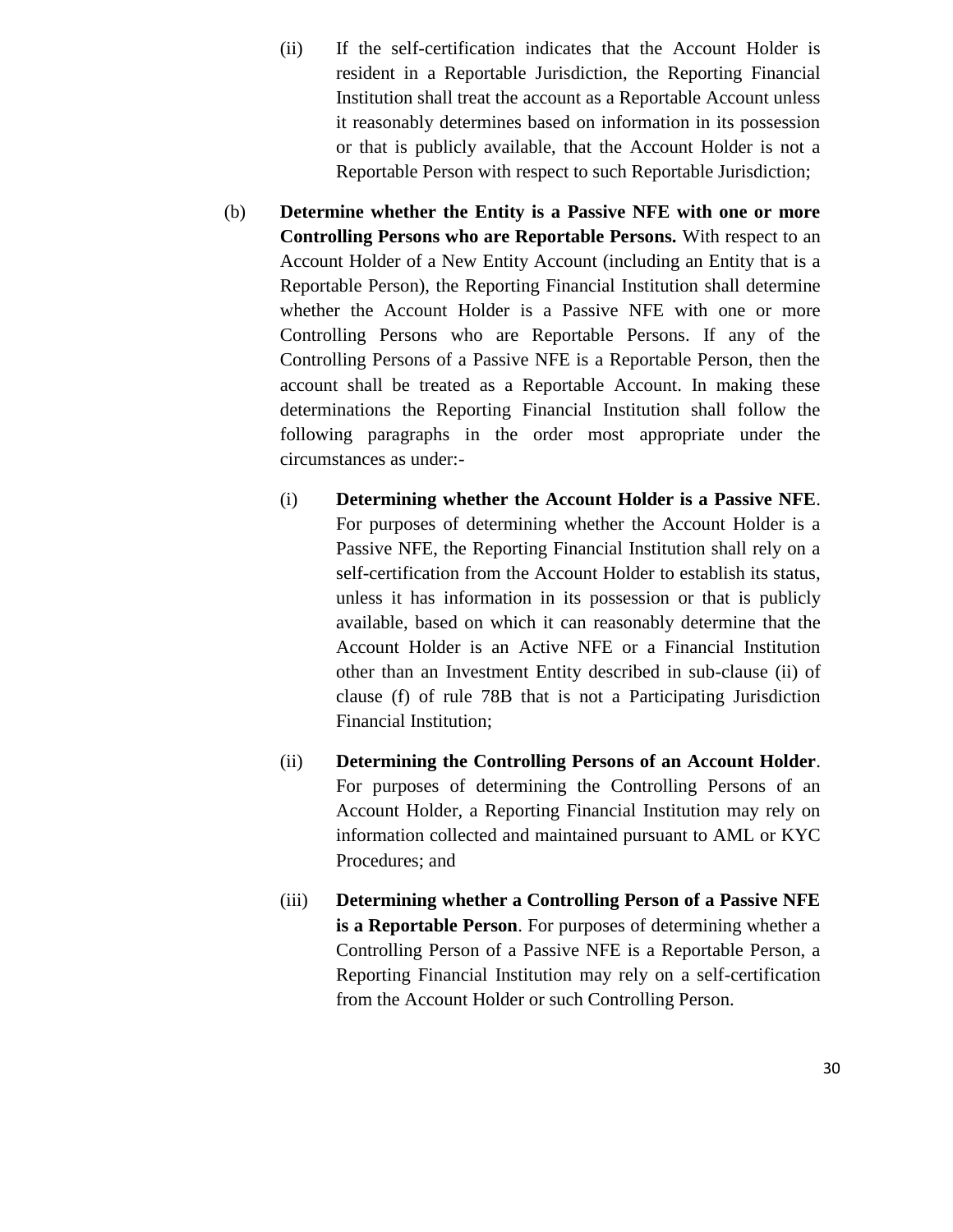- (ii) If the self-certification indicates that the Account Holder is resident in a Reportable Jurisdiction, the Reporting Financial Institution shall treat the account as a Reportable Account unless it reasonably determines based on information in its possession or that is publicly available, that the Account Holder is not a Reportable Person with respect to such Reportable Jurisdiction;
- (b) **Determine whether the Entity is a Passive NFE with one or more Controlling Persons who are Reportable Persons.** With respect to an Account Holder of a New Entity Account (including an Entity that is a Reportable Person), the Reporting Financial Institution shall determine whether the Account Holder is a Passive NFE with one or more Controlling Persons who are Reportable Persons. If any of the Controlling Persons of a Passive NFE is a Reportable Person, then the account shall be treated as a Reportable Account. In making these determinations the Reporting Financial Institution shall follow the following paragraphs in the order most appropriate under the circumstances as under:-
	- (i) **Determining whether the Account Holder is a Passive NFE**. For purposes of determining whether the Account Holder is a Passive NFE, the Reporting Financial Institution shall rely on a self-certification from the Account Holder to establish its status, unless it has information in its possession or that is publicly available, based on which it can reasonably determine that the Account Holder is an Active NFE or a Financial Institution other than an Investment Entity described in sub-clause (ii) of clause (f) of rule 78B that is not a Participating Jurisdiction Financial Institution;
	- (ii) **Determining the Controlling Persons of an Account Holder**. For purposes of determining the Controlling Persons of an Account Holder, a Reporting Financial Institution may rely on information collected and maintained pursuant to AML or KYC Procedures; and
	- (iii) **Determining whether a Controlling Person of a Passive NFE is a Reportable Person**. For purposes of determining whether a Controlling Person of a Passive NFE is a Reportable Person, a Reporting Financial Institution may rely on a self-certification from the Account Holder or such Controlling Person.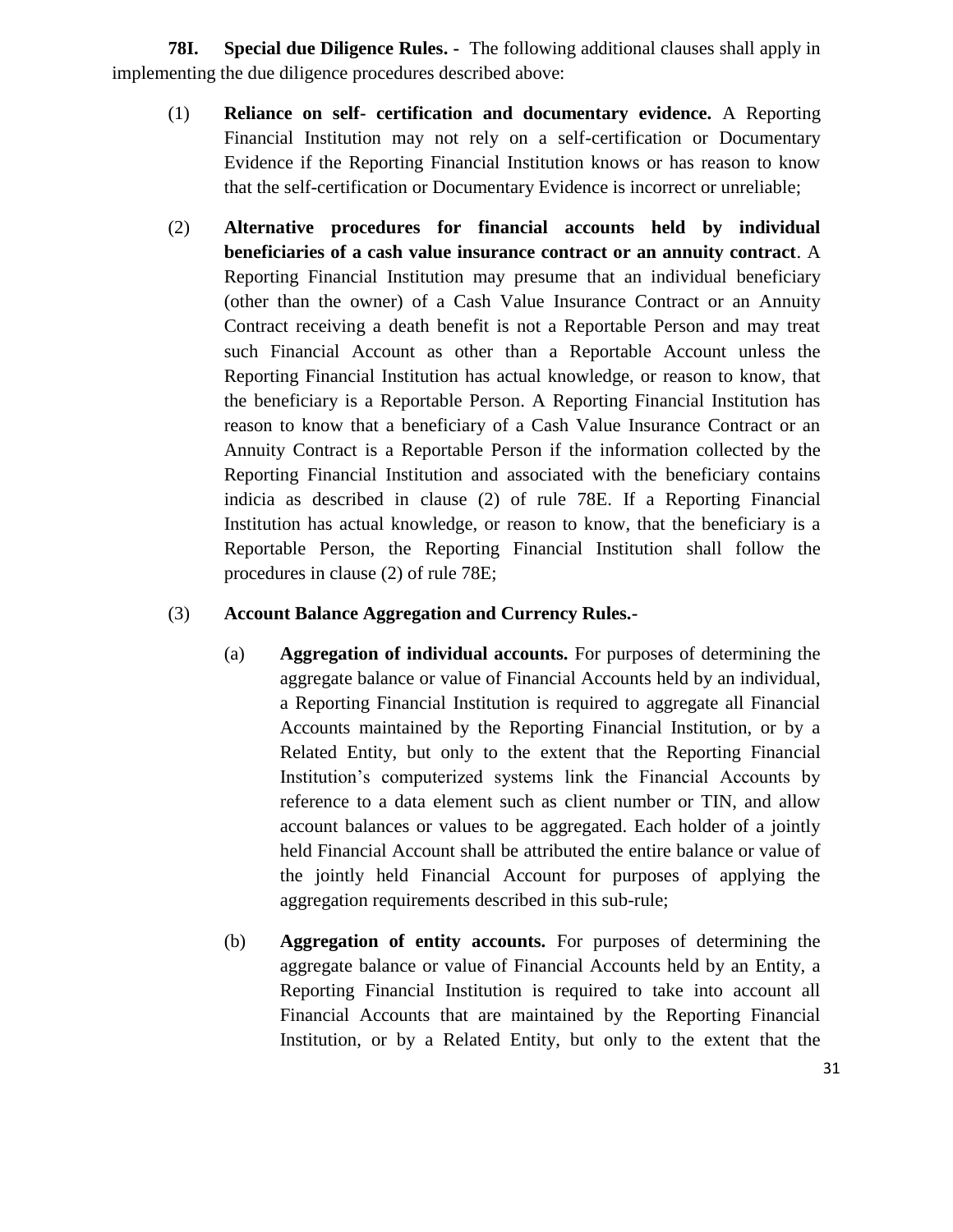**78I. Special due Diligence Rules. -** The following additional clauses shall apply in implementing the due diligence procedures described above:

- (1) **Reliance on self- certification and documentary evidence.** A Reporting Financial Institution may not rely on a self-certification or Documentary Evidence if the Reporting Financial Institution knows or has reason to know that the self-certification or Documentary Evidence is incorrect or unreliable;
- (2) **Alternative procedures for financial accounts held by individual beneficiaries of a cash value insurance contract or an annuity contract**. A Reporting Financial Institution may presume that an individual beneficiary (other than the owner) of a Cash Value Insurance Contract or an Annuity Contract receiving a death benefit is not a Reportable Person and may treat such Financial Account as other than a Reportable Account unless the Reporting Financial Institution has actual knowledge, or reason to know, that the beneficiary is a Reportable Person. A Reporting Financial Institution has reason to know that a beneficiary of a Cash Value Insurance Contract or an Annuity Contract is a Reportable Person if the information collected by the Reporting Financial Institution and associated with the beneficiary contains indicia as described in clause (2) of rule 78E. If a Reporting Financial Institution has actual knowledge, or reason to know, that the beneficiary is a Reportable Person, the Reporting Financial Institution shall follow the procedures in clause (2) of rule 78E;

### (3) **Account Balance Aggregation and Currency Rules.-**

- (a) **Aggregation of individual accounts.** For purposes of determining the aggregate balance or value of Financial Accounts held by an individual, a Reporting Financial Institution is required to aggregate all Financial Accounts maintained by the Reporting Financial Institution, or by a Related Entity, but only to the extent that the Reporting Financial Institution's computerized systems link the Financial Accounts by reference to a data element such as client number or TIN, and allow account balances or values to be aggregated. Each holder of a jointly held Financial Account shall be attributed the entire balance or value of the jointly held Financial Account for purposes of applying the aggregation requirements described in this sub-rule;
- (b) **Aggregation of entity accounts.** For purposes of determining the aggregate balance or value of Financial Accounts held by an Entity, a Reporting Financial Institution is required to take into account all Financial Accounts that are maintained by the Reporting Financial Institution, or by a Related Entity, but only to the extent that the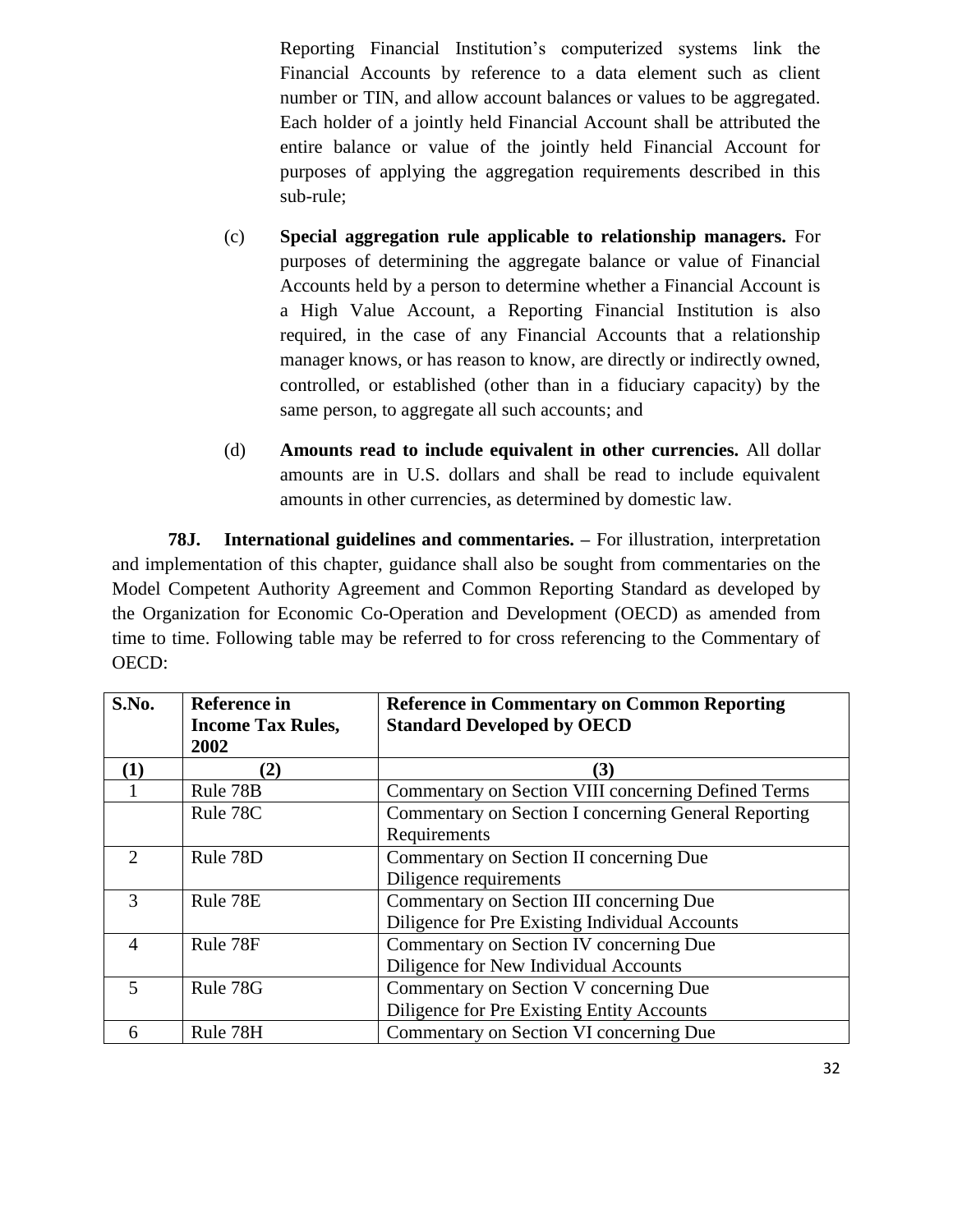Reporting Financial Institution's computerized systems link the Financial Accounts by reference to a data element such as client number or TIN, and allow account balances or values to be aggregated. Each holder of a jointly held Financial Account shall be attributed the entire balance or value of the jointly held Financial Account for purposes of applying the aggregation requirements described in this sub-rule;

- (c) **Special aggregation rule applicable to relationship managers.** For purposes of determining the aggregate balance or value of Financial Accounts held by a person to determine whether a Financial Account is a High Value Account, a Reporting Financial Institution is also required, in the case of any Financial Accounts that a relationship manager knows, or has reason to know, are directly or indirectly owned, controlled, or established (other than in a fiduciary capacity) by the same person, to aggregate all such accounts; and
- (d) **Amounts read to include equivalent in other currencies.** All dollar amounts are in U.S. dollars and shall be read to include equivalent amounts in other currencies, as determined by domestic law.

**78J. International guidelines and commentaries. –** For illustration, interpretation and implementation of this chapter, guidance shall also be sought from commentaries on the Model Competent Authority Agreement and Common Reporting Standard as developed by the Organization for Economic Co-Operation and Development (OECD) as amended from time to time. Following table may be referred to for cross referencing to the Commentary of OECD:

| S.No.         | <b>Reference in</b><br><b>Income Tax Rules,</b><br>2002 | <b>Reference in Commentary on Common Reporting</b><br><b>Standard Developed by OECD</b> |
|---------------|---------------------------------------------------------|-----------------------------------------------------------------------------------------|
| (1)           | (2)                                                     | (3)                                                                                     |
|               | Rule 78B                                                | Commentary on Section VIII concerning Defined Terms                                     |
|               | Rule 78C                                                | Commentary on Section I concerning General Reporting                                    |
|               |                                                         | Requirements                                                                            |
| $\mathcal{D}$ | Rule 78D                                                | Commentary on Section II concerning Due                                                 |
|               |                                                         | Diligence requirements                                                                  |
| 3             | Rule 78E                                                | Commentary on Section III concerning Due                                                |
|               |                                                         | Diligence for Pre Existing Individual Accounts                                          |
| 4             | Rule 78F                                                | Commentary on Section IV concerning Due                                                 |
|               |                                                         | Diligence for New Individual Accounts                                                   |
| 5             | Rule 78G                                                | Commentary on Section V concerning Due                                                  |
|               |                                                         | Diligence for Pre Existing Entity Accounts                                              |
| 6             | Rule 78H                                                | Commentary on Section VI concerning Due                                                 |